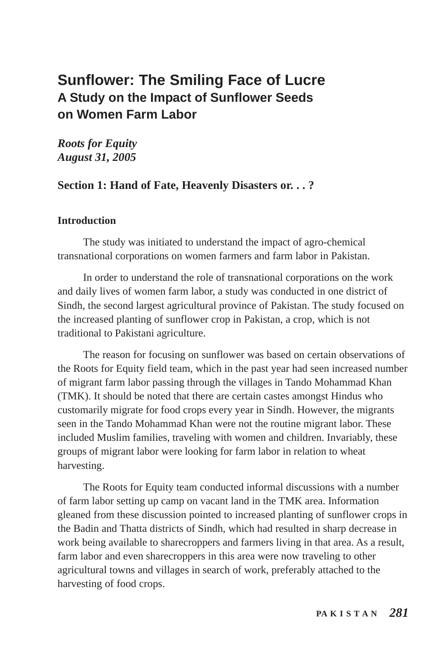# **Sunflower: The Smiling Face of Lucre A Study on the Impact of Sunflower Seeds on Women Farm Labor**

*Roots for Equity August 31, 2005*

## **Section 1: Hand of Fate, Heavenly Disasters or. . . ?**

#### **Introduction**

The study was initiated to understand the impact of agro-chemical transnational corporations on women farmers and farm labor in Pakistan.

In order to understand the role of transnational corporations on the work and daily lives of women farm labor, a study was conducted in one district of Sindh, the second largest agricultural province of Pakistan. The study focused on the increased planting of sunflower crop in Pakistan, a crop, which is not traditional to Pakistani agriculture.

The reason for focusing on sunflower was based on certain observations of the Roots for Equity field team, which in the past year had seen increased number of migrant farm labor passing through the villages in Tando Mohammad Khan (TMK). It should be noted that there are certain castes amongst Hindus who customarily migrate for food crops every year in Sindh. However, the migrants seen in the Tando Mohammad Khan were not the routine migrant labor. These included Muslim families, traveling with women and children. Invariably, these groups of migrant labor were looking for farm labor in relation to wheat harvesting.

The Roots for Equity team conducted informal discussions with a number of farm labor setting up camp on vacant land in the TMK area. Information gleaned from these discussion pointed to increased planting of sunflower crops in the Badin and Thatta districts of Sindh, which had resulted in sharp decrease in work being available to sharecroppers and farmers living in that area. As a result, farm labor and even sharecroppers in this area were now traveling to other agricultural towns and villages in search of work, preferably attached to the harvesting of food crops.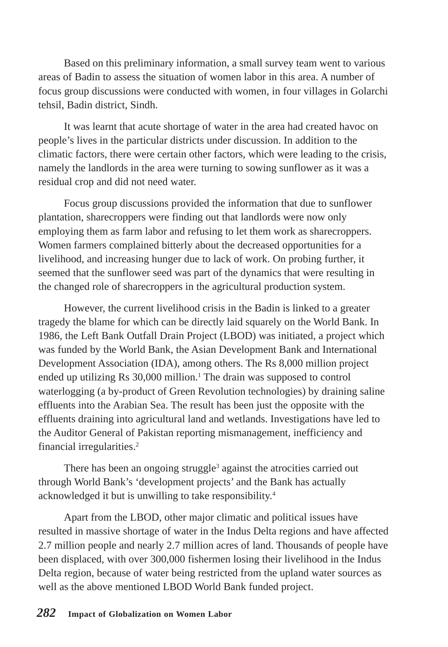Based on this preliminary information, a small survey team went to various areas of Badin to assess the situation of women labor in this area. A number of focus group discussions were conducted with women, in four villages in Golarchi tehsil, Badin district, Sindh.

It was learnt that acute shortage of water in the area had created havoc on people's lives in the particular districts under discussion. In addition to the climatic factors, there were certain other factors, which were leading to the crisis, namely the landlords in the area were turning to sowing sunflower as it was a residual crop and did not need water.

Focus group discussions provided the information that due to sunflower plantation, sharecroppers were finding out that landlords were now only employing them as farm labor and refusing to let them work as sharecroppers. Women farmers complained bitterly about the decreased opportunities for a livelihood, and increasing hunger due to lack of work. On probing further, it seemed that the sunflower seed was part of the dynamics that were resulting in the changed role of sharecroppers in the agricultural production system.

However, the current livelihood crisis in the Badin is linked to a greater tragedy the blame for which can be directly laid squarely on the World Bank. In 1986, the Left Bank Outfall Drain Project (LBOD) was initiated, a project which was funded by the World Bank, the Asian Development Bank and International Development Association (IDA), among others. The Rs 8,000 million project ended up utilizing Rs 30,000 million.<sup>1</sup> The drain was supposed to control waterlogging (a by-product of Green Revolution technologies) by draining saline effluents into the Arabian Sea. The result has been just the opposite with the effluents draining into agricultural land and wetlands. Investigations have led to the Auditor General of Pakistan reporting mismanagement, inefficiency and financial irregularities.2

There has been an ongoing struggle<sup>3</sup> against the atrocities carried out through World Bank's 'development projects' and the Bank has actually acknowledged it but is unwilling to take responsibility.4

Apart from the LBOD, other major climatic and political issues have resulted in massive shortage of water in the Indus Delta regions and have affected 2.7 million people and nearly 2.7 million acres of land. Thousands of people have been displaced, with over 300,000 fishermen losing their livelihood in the Indus Delta region, because of water being restricted from the upland water sources as well as the above mentioned LBOD World Bank funded project.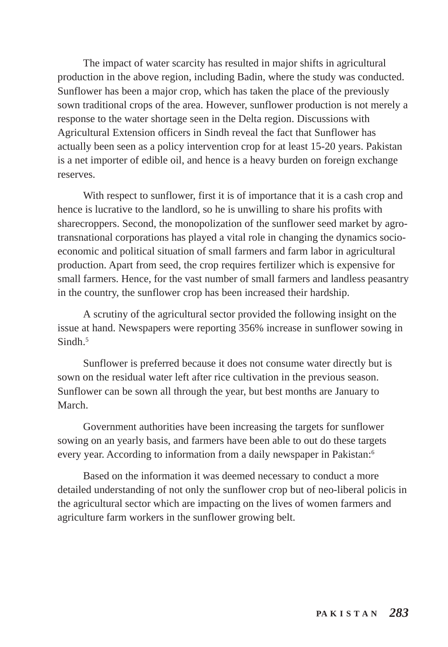The impact of water scarcity has resulted in major shifts in agricultural production in the above region, including Badin, where the study was conducted. Sunflower has been a major crop, which has taken the place of the previously sown traditional crops of the area. However, sunflower production is not merely a response to the water shortage seen in the Delta region. Discussions with Agricultural Extension officers in Sindh reveal the fact that Sunflower has actually been seen as a policy intervention crop for at least 15-20 years. Pakistan is a net importer of edible oil, and hence is a heavy burden on foreign exchange reserves.

With respect to sunflower, first it is of importance that it is a cash crop and hence is lucrative to the landlord, so he is unwilling to share his profits with sharecroppers. Second, the monopolization of the sunflower seed market by agrotransnational corporations has played a vital role in changing the dynamics socioeconomic and political situation of small farmers and farm labor in agricultural production. Apart from seed, the crop requires fertilizer which is expensive for small farmers. Hence, for the vast number of small farmers and landless peasantry in the country, the sunflower crop has been increased their hardship.

A scrutiny of the agricultural sector provided the following insight on the issue at hand. Newspapers were reporting 356% increase in sunflower sowing in Sindh<sup>5</sup>

Sunflower is preferred because it does not consume water directly but is sown on the residual water left after rice cultivation in the previous season. Sunflower can be sown all through the year, but best months are January to March.

Government authorities have been increasing the targets for sunflower sowing on an yearly basis, and farmers have been able to out do these targets every year. According to information from a daily newspaper in Pakistan:<sup>6</sup>

Based on the information it was deemed necessary to conduct a more detailed understanding of not only the sunflower crop but of neo-liberal policis in the agricultural sector which are impacting on the lives of women farmers and agriculture farm workers in the sunflower growing belt.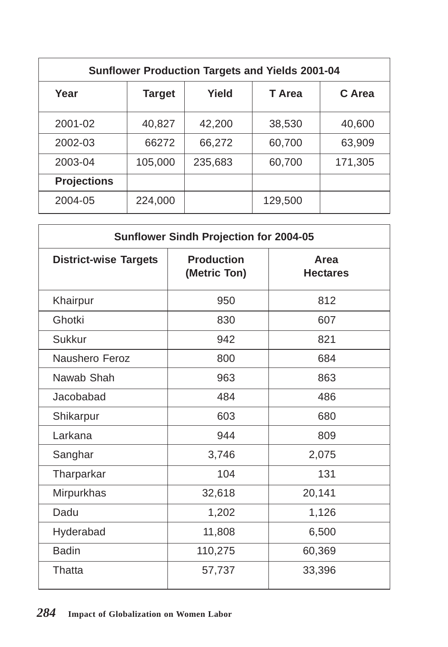| <b>Sunflower Production Targets and Yields 2001-04</b> |               |         |         |         |  |
|--------------------------------------------------------|---------------|---------|---------|---------|--|
| Year                                                   | <b>Target</b> | Yield   | T Area  | C Area  |  |
| 2001-02                                                | 40,827        | 42,200  | 38,530  | 40,600  |  |
| 2002-03                                                | 66272         | 66,272  | 60,700  | 63,909  |  |
| 2003-04                                                | 105,000       | 235,683 | 60,700  | 171,305 |  |
| <b>Projections</b>                                     |               |         |         |         |  |
| 2004-05                                                | 224,000       |         | 129,500 |         |  |

| Sunflower Sindh Projection for 2004-05 |                                   |                         |  |  |
|----------------------------------------|-----------------------------------|-------------------------|--|--|
| <b>District-wise Targets</b>           | <b>Production</b><br>(Metric Ton) | Area<br><b>Hectares</b> |  |  |
| Khairpur                               | 950                               | 812                     |  |  |
| Ghotki                                 | 830                               | 607                     |  |  |
| <b>Sukkur</b>                          | 942                               | 821                     |  |  |
| Naushero Feroz                         | 800                               | 684                     |  |  |
| Nawab Shah                             | 963                               | 863                     |  |  |
| Jacobabad                              | 484                               | 486                     |  |  |
| Shikarpur                              | 603                               | 680                     |  |  |
| Larkana                                | 944                               | 809                     |  |  |
| Sanghar                                | 3,746                             | 2,075                   |  |  |
| Tharparkar                             | 104                               | 131                     |  |  |
| Mirpurkhas                             | 32,618                            | 20,141                  |  |  |
| Dadu                                   | 1,202                             | 1,126                   |  |  |
| Hyderabad                              | 11,808                            | 6,500                   |  |  |
| <b>Badin</b>                           | 110,275                           | 60,369                  |  |  |
| Thatta                                 | 57,737                            | 33,396                  |  |  |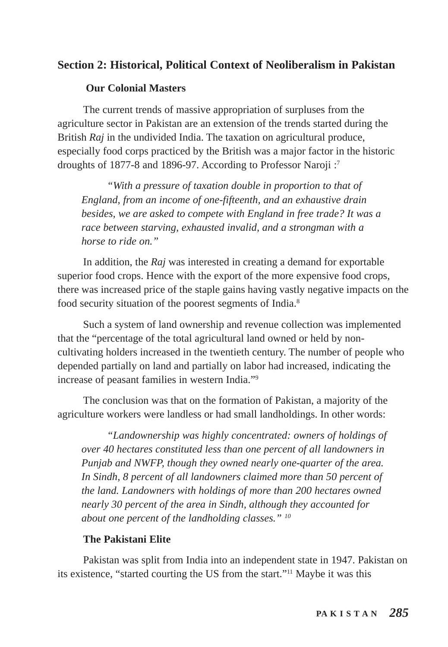# **Section 2: Historical, Political Context of Neoliberalism in Pakistan**

### **Our Colonial Masters**

The current trends of massive appropriation of surpluses from the agriculture sector in Pakistan are an extension of the trends started during the British *Raj* in the undivided India. The taxation on agricultural produce, especially food corps practiced by the British was a major factor in the historic droughts of 1877-8 and 1896-97. According to Professor Naroji :7

*"With a pressure of taxation double in proportion to that of England, from an income of one-fifteenth, and an exhaustive drain besides, we are asked to compete with England in free trade? It was a race between starving, exhausted invalid, and a strongman with a horse to ride on."*

In addition, the *Raj* was interested in creating a demand for exportable superior food crops. Hence with the export of the more expensive food crops, there was increased price of the staple gains having vastly negative impacts on the food security situation of the poorest segments of India.8

Such a system of land ownership and revenue collection was implemented that the "percentage of the total agricultural land owned or held by noncultivating holders increased in the twentieth century. The number of people who depended partially on land and partially on labor had increased, indicating the increase of peasant families in western India."9

The conclusion was that on the formation of Pakistan, a majority of the agriculture workers were landless or had small landholdings. In other words:

*"Landownership was highly concentrated: owners of holdings of over 40 hectares constituted less than one percent of all landowners in Punjab and NWFP, though they owned nearly one-quarter of the area. In Sindh, 8 percent of all landowners claimed more than 50 percent of the land. Landowners with holdings of more than 200 hectares owned nearly 30 percent of the area in Sindh, although they accounted for about one percent of the landholding classes." 10*

### **The Pakistani Elite**

Pakistan was split from India into an independent state in 1947. Pakistan on its existence, "started courting the US from the start."11 Maybe it was this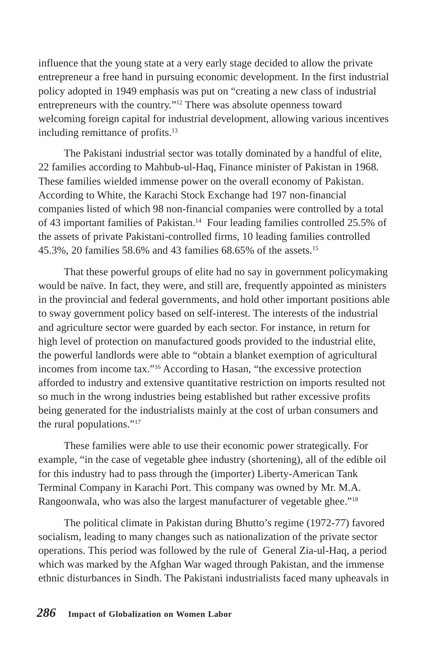influence that the young state at a very early stage decided to allow the private entrepreneur a free hand in pursuing economic development. In the first industrial policy adopted in 1949 emphasis was put on "creating a new class of industrial entrepreneurs with the country."12 There was absolute openness toward welcoming foreign capital for industrial development, allowing various incentives including remittance of profits.13

The Pakistani industrial sector was totally dominated by a handful of elite, 22 families according to Mahbub-ul-Haq, Finance minister of Pakistan in 1968. These families wielded immense power on the overall economy of Pakistan. According to White, the Karachi Stock Exchange had 197 non-financial companies listed of which 98 non-financial companies were controlled by a total of 43 important families of Pakistan.14 Four leading families controlled 25.5% of the assets of private Pakistani-controlled firms, 10 leading families controlled 45.3%, 20 families 58.6% and 43 families 68.65% of the assets.15

That these powerful groups of elite had no say in government policymaking would be naïve. In fact, they were, and still are, frequently appointed as ministers in the provincial and federal governments, and hold other important positions able to sway government policy based on self-interest. The interests of the industrial and agriculture sector were guarded by each sector. For instance, in return for high level of protection on manufactured goods provided to the industrial elite, the powerful landlords were able to "obtain a blanket exemption of agricultural incomes from income tax."16 According to Hasan, "the excessive protection afforded to industry and extensive quantitative restriction on imports resulted not so much in the wrong industries being established but rather excessive profits being generated for the industrialists mainly at the cost of urban consumers and the rural populations."17

These families were able to use their economic power strategically. For example, "in the case of vegetable ghee industry (shortening), all of the edible oil for this industry had to pass through the (importer) Liberty-American Tank Terminal Company in Karachi Port. This company was owned by Mr. M.A. Rangoonwala, who was also the largest manufacturer of vegetable ghee."18

The political climate in Pakistan during Bhutto's regime (1972-77) favored socialism, leading to many changes such as nationalization of the private sector operations. This period was followed by the rule of General Zia-ul-Haq, a period which was marked by the Afghan War waged through Pakistan, and the immense ethnic disturbances in Sindh. The Pakistani industrialists faced many upheavals in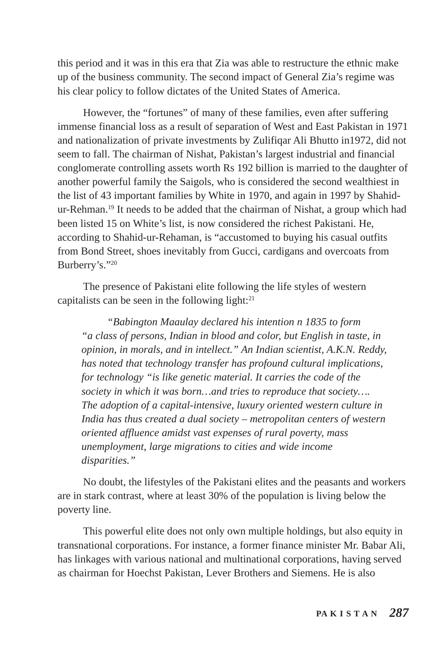this period and it was in this era that Zia was able to restructure the ethnic make up of the business community. The second impact of General Zia's regime was his clear policy to follow dictates of the United States of America.

However, the "fortunes" of many of these families, even after suffering immense financial loss as a result of separation of West and East Pakistan in 1971 and nationalization of private investments by Zulifiqar Ali Bhutto in1972, did not seem to fall. The chairman of Nishat, Pakistan's largest industrial and financial conglomerate controlling assets worth Rs 192 billion is married to the daughter of another powerful family the Saigols, who is considered the second wealthiest in the list of 43 important families by White in 1970, and again in 1997 by Shahidur-Rehman.19 It needs to be added that the chairman of Nishat, a group which had been listed 15 on White's list, is now considered the richest Pakistani. He, according to Shahid-ur-Rehaman, is "accustomed to buying his casual outfits from Bond Street, shoes inevitably from Gucci, cardigans and overcoats from Burberry's."20

The presence of Pakistani elite following the life styles of western capitalists can be seen in the following light: $21$ 

*"Babington Maaulay declared his intention n 1835 to form "a class of persons, Indian in blood and color, but English in taste, in opinion, in morals, and in intellect." An Indian scientist, A.K.N. Reddy, has noted that technology transfer has profound cultural implications, for technology "is like genetic material. It carries the code of the society in which it was born…and tries to reproduce that society…. The adoption of a capital-intensive, luxury oriented western culture in India has thus created a dual society – metropolitan centers of western oriented affluence amidst vast expenses of rural poverty, mass unemployment, large migrations to cities and wide income disparities."*

No doubt, the lifestyles of the Pakistani elites and the peasants and workers are in stark contrast, where at least 30% of the population is living below the poverty line.

This powerful elite does not only own multiple holdings, but also equity in transnational corporations. For instance, a former finance minister Mr. Babar Ali, has linkages with various national and multinational corporations, having served as chairman for Hoechst Pakistan, Lever Brothers and Siemens. He is also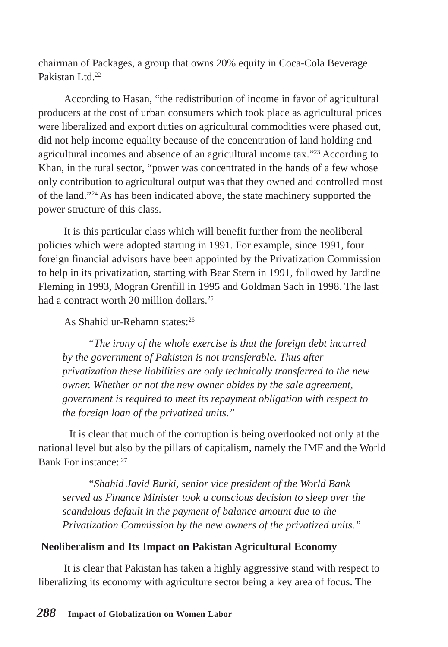chairman of Packages, a group that owns 20% equity in Coca-Cola Beverage Pakistan Ltd<sup>22</sup>

According to Hasan, "the redistribution of income in favor of agricultural producers at the cost of urban consumers which took place as agricultural prices were liberalized and export duties on agricultural commodities were phased out, did not help income equality because of the concentration of land holding and agricultural incomes and absence of an agricultural income tax."23 According to Khan, in the rural sector, "power was concentrated in the hands of a few whose only contribution to agricultural output was that they owned and controlled most of the land."24 As has been indicated above, the state machinery supported the power structure of this class.

It is this particular class which will benefit further from the neoliberal policies which were adopted starting in 1991. For example, since 1991, four foreign financial advisors have been appointed by the Privatization Commission to help in its privatization, starting with Bear Stern in 1991, followed by Jardine Fleming in 1993, Mogran Grenfill in 1995 and Goldman Sach in 1998. The last had a contract worth 20 million dollars.<sup>25</sup>

## As Shahid ur-Rehamn states:26

*"The irony of the whole exercise is that the foreign debt incurred by the government of Pakistan is not transferable. Thus after privatization these liabilities are only technically transferred to the new owner. Whether or not the new owner abides by the sale agreement, government is required to meet its repayment obligation with respect to the foreign loan of the privatized units."*

 It is clear that much of the corruption is being overlooked not only at the national level but also by the pillars of capitalism, namely the IMF and the World Bank For instance: 27

*"Shahid Javid Burki, senior vice president of the World Bank served as Finance Minister took a conscious decision to sleep over the scandalous default in the payment of balance amount due to the Privatization Commission by the new owners of the privatized units."*

### **Neoliberalism and Its Impact on Pakistan Agricultural Economy**

It is clear that Pakistan has taken a highly aggressive stand with respect to liberalizing its economy with agriculture sector being a key area of focus. The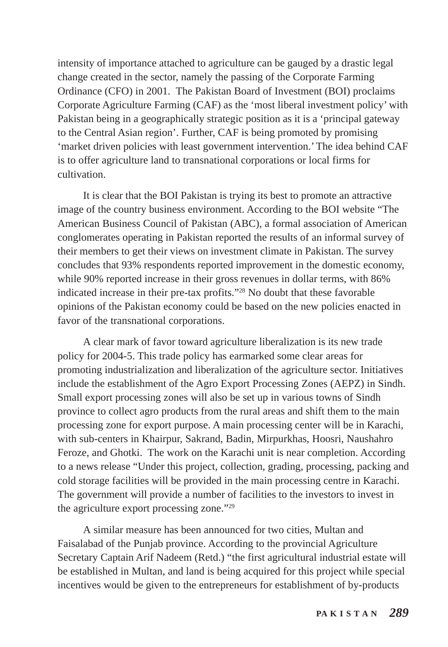intensity of importance attached to agriculture can be gauged by a drastic legal change created in the sector, namely the passing of the Corporate Farming Ordinance (CFO) in 2001. The Pakistan Board of Investment (BOI) proclaims Corporate Agriculture Farming (CAF) as the 'most liberal investment policy' with Pakistan being in a geographically strategic position as it is a 'principal gateway to the Central Asian region'. Further, CAF is being promoted by promising 'market driven policies with least government intervention.' The idea behind CAF is to offer agriculture land to transnational corporations or local firms for cultivation.

It is clear that the BOI Pakistan is trying its best to promote an attractive image of the country business environment. According to the BOI website "The American Business Council of Pakistan (ABC), a formal association of American conglomerates operating in Pakistan reported the results of an informal survey of their members to get their views on investment climate in Pakistan. The survey concludes that 93% respondents reported improvement in the domestic economy, while 90% reported increase in their gross revenues in dollar terms, with 86% indicated increase in their pre-tax profits."28 No doubt that these favorable opinions of the Pakistan economy could be based on the new policies enacted in favor of the transnational corporations.

A clear mark of favor toward agriculture liberalization is its new trade policy for 2004-5. This trade policy has earmarked some clear areas for promoting industrialization and liberalization of the agriculture sector. Initiatives include the establishment of the Agro Export Processing Zones (AEPZ) in Sindh. Small export processing zones will also be set up in various towns of Sindh province to collect agro products from the rural areas and shift them to the main processing zone for export purpose. A main processing center will be in Karachi, with sub-centers in Khairpur, Sakrand, Badin, Mirpurkhas, Hoosri, Naushahro Feroze, and Ghotki. The work on the Karachi unit is near completion. According to a news release "Under this project, collection, grading, processing, packing and cold storage facilities will be provided in the main processing centre in Karachi. The government will provide a number of facilities to the investors to invest in the agriculture export processing zone."29

A similar measure has been announced for two cities, Multan and Faisalabad of the Punjab province. According to the provincial Agriculture Secretary Captain Arif Nadeem (Retd.) "the first agricultural industrial estate will be established in Multan, and land is being acquired for this project while special incentives would be given to the entrepreneurs for establishment of by-products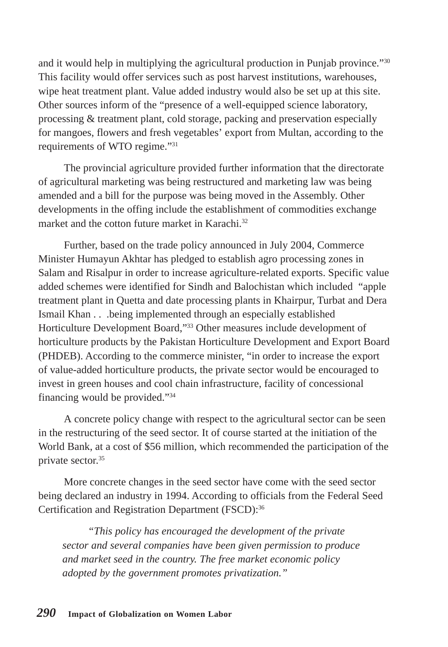and it would help in multiplying the agricultural production in Punjab province."30 This facility would offer services such as post harvest institutions, warehouses, wipe heat treatment plant. Value added industry would also be set up at this site. Other sources inform of the "presence of a well-equipped science laboratory, processing & treatment plant, cold storage, packing and preservation especially for mangoes, flowers and fresh vegetables' export from Multan, according to the requirements of WTO regime."31

The provincial agriculture provided further information that the directorate of agricultural marketing was being restructured and marketing law was being amended and a bill for the purpose was being moved in the Assembly. Other developments in the offing include the establishment of commodities exchange market and the cotton future market in Karachi $^{32}$ 

Further, based on the trade policy announced in July 2004, Commerce Minister Humayun Akhtar has pledged to establish agro processing zones in Salam and Risalpur in order to increase agriculture-related exports. Specific value added schemes were identified for Sindh and Balochistan which included "apple treatment plant in Quetta and date processing plants in Khairpur, Turbat and Dera Ismail Khan . . .being implemented through an especially established Horticulture Development Board,"33 Other measures include development of horticulture products by the Pakistan Horticulture Development and Export Board (PHDEB). According to the commerce minister, "in order to increase the export of value-added horticulture products, the private sector would be encouraged to invest in green houses and cool chain infrastructure, facility of concessional financing would be provided."34

A concrete policy change with respect to the agricultural sector can be seen in the restructuring of the seed sector. It of course started at the initiation of the World Bank, at a cost of \$56 million, which recommended the participation of the private sector.35

More concrete changes in the seed sector have come with the seed sector being declared an industry in 1994. According to officials from the Federal Seed Certification and Registration Department (FSCD):<sup>36</sup>

*"This policy has encouraged the development of the private sector and several companies have been given permission to produce and market seed in the country. The free market economic policy adopted by the government promotes privatization."*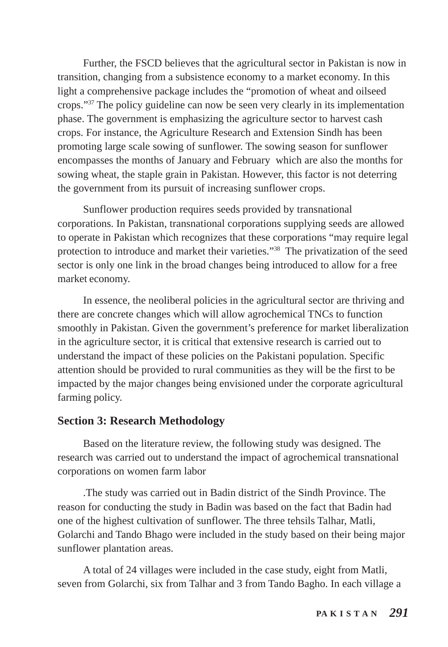Further, the FSCD believes that the agricultural sector in Pakistan is now in transition, changing from a subsistence economy to a market economy. In this light a comprehensive package includes the "promotion of wheat and oilseed crops."37 The policy guideline can now be seen very clearly in its implementation phase. The government is emphasizing the agriculture sector to harvest cash crops. For instance, the Agriculture Research and Extension Sindh has been promoting large scale sowing of sunflower. The sowing season for sunflower encompasses the months of January and February which are also the months for sowing wheat, the staple grain in Pakistan. However, this factor is not deterring the government from its pursuit of increasing sunflower crops.

Sunflower production requires seeds provided by transnational corporations. In Pakistan, transnational corporations supplying seeds are allowed to operate in Pakistan which recognizes that these corporations "may require legal protection to introduce and market their varieties."38 The privatization of the seed sector is only one link in the broad changes being introduced to allow for a free market economy.

In essence, the neoliberal policies in the agricultural sector are thriving and there are concrete changes which will allow agrochemical TNCs to function smoothly in Pakistan. Given the government's preference for market liberalization in the agriculture sector, it is critical that extensive research is carried out to understand the impact of these policies on the Pakistani population. Specific attention should be provided to rural communities as they will be the first to be impacted by the major changes being envisioned under the corporate agricultural farming policy.

# **Section 3: Research Methodology**

Based on the literature review, the following study was designed. The research was carried out to understand the impact of agrochemical transnational corporations on women farm labor

.The study was carried out in Badin district of the Sindh Province. The reason for conducting the study in Badin was based on the fact that Badin had one of the highest cultivation of sunflower. The three tehsils Talhar, Matli, Golarchi and Tando Bhago were included in the study based on their being major sunflower plantation areas.

A total of 24 villages were included in the case study, eight from Matli, seven from Golarchi, six from Talhar and 3 from Tando Bagho. In each village a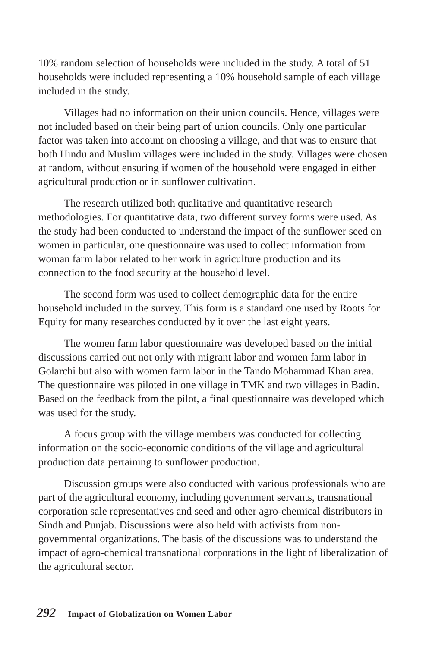10% random selection of households were included in the study. A total of 51 households were included representing a 10% household sample of each village included in the study.

Villages had no information on their union councils. Hence, villages were not included based on their being part of union councils. Only one particular factor was taken into account on choosing a village, and that was to ensure that both Hindu and Muslim villages were included in the study. Villages were chosen at random, without ensuring if women of the household were engaged in either agricultural production or in sunflower cultivation.

The research utilized both qualitative and quantitative research methodologies. For quantitative data, two different survey forms were used. As the study had been conducted to understand the impact of the sunflower seed on women in particular, one questionnaire was used to collect information from woman farm labor related to her work in agriculture production and its connection to the food security at the household level.

The second form was used to collect demographic data for the entire household included in the survey. This form is a standard one used by Roots for Equity for many researches conducted by it over the last eight years.

The women farm labor questionnaire was developed based on the initial discussions carried out not only with migrant labor and women farm labor in Golarchi but also with women farm labor in the Tando Mohammad Khan area. The questionnaire was piloted in one village in TMK and two villages in Badin. Based on the feedback from the pilot, a final questionnaire was developed which was used for the study.

A focus group with the village members was conducted for collecting information on the socio-economic conditions of the village and agricultural production data pertaining to sunflower production.

Discussion groups were also conducted with various professionals who are part of the agricultural economy, including government servants, transnational corporation sale representatives and seed and other agro-chemical distributors in Sindh and Punjab. Discussions were also held with activists from nongovernmental organizations. The basis of the discussions was to understand the impact of agro-chemical transnational corporations in the light of liberalization of the agricultural sector.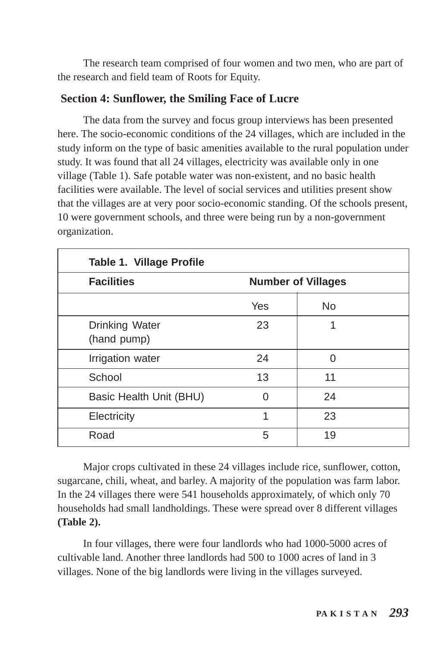The research team comprised of four women and two men, who are part of the research and field team of Roots for Equity.

# **Section 4: Sunflower, the Smiling Face of Lucre**

The data from the survey and focus group interviews has been presented here. The socio-economic conditions of the 24 villages, which are included in the study inform on the type of basic amenities available to the rural population under study. It was found that all 24 villages, electricity was available only in one village (Table 1). Safe potable water was non-existent, and no basic health facilities were available. The level of social services and utilities present show that the villages are at very poor socio-economic standing. Of the schools present, 10 were government schools, and three were being run by a non-government organization.

| <b>Table 1. Village Profile</b> |                           |    |  |  |
|---------------------------------|---------------------------|----|--|--|
| <b>Facilities</b>               | <b>Number of Villages</b> |    |  |  |
|                                 | Yes                       | No |  |  |
| Drinking Water<br>(hand pump)   | 23                        | 1  |  |  |
| Irrigation water                | 24                        | 0  |  |  |
| School                          | 13                        | 11 |  |  |
| Basic Health Unit (BHU)         | ი                         | 24 |  |  |
| Electricity                     | 1                         | 23 |  |  |
| Road                            | 5                         | 19 |  |  |

Major crops cultivated in these 24 villages include rice, sunflower, cotton, sugarcane, chili, wheat, and barley. A majority of the population was farm labor. In the 24 villages there were 541 households approximately, of which only 70 households had small landholdings. These were spread over 8 different villages **(Table 2).**

In four villages, there were four landlords who had 1000-5000 acres of cultivable land. Another three landlords had 500 to 1000 acres of land in 3 villages. None of the big landlords were living in the villages surveyed.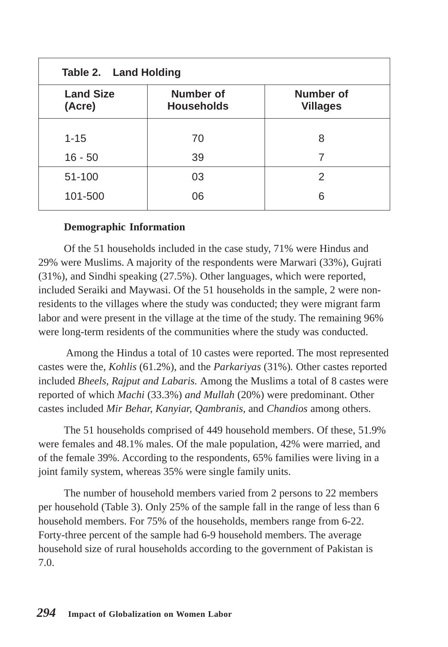| Table 2. Land Holding      |                                       |                              |  |  |
|----------------------------|---------------------------------------|------------------------------|--|--|
| <b>Land Size</b><br>(Acre) | <b>Number of</b><br><b>Households</b> | Number of<br><b>Villages</b> |  |  |
| $1 - 15$                   | 70                                    | 8                            |  |  |
| $16 - 50$                  | 39                                    | 7                            |  |  |
| 51-100                     | 03                                    | 2                            |  |  |
| 101-500                    | 06                                    | 6                            |  |  |

#### **Demographic Information**

Of the 51 households included in the case study, 71% were Hindus and 29% were Muslims. A majority of the respondents were Marwari (33%), Gujrati (31%), and Sindhi speaking (27.5%). Other languages, which were reported, included Seraiki and Maywasi. Of the 51 households in the sample, 2 were nonresidents to the villages where the study was conducted; they were migrant farm labor and were present in the village at the time of the study. The remaining 96% were long-term residents of the communities where the study was conducted.

 Among the Hindus a total of 10 castes were reported. The most represented castes were the, *Kohlis* (61.2%), and the *Parkariyas* (31%)*.* Other castes reported included *Bheels, Rajput and Labaris.* Among the Muslims a total of 8 castes were reported of which *Machi* (33.3%) *and Mullah* (20%) were predominant. Other castes included *Mir Behar, Kanyiar, Qambranis,* and *Chandios* among others.

The 51 households comprised of 449 household members. Of these, 51.9% were females and 48.1% males. Of the male population, 42% were married, and of the female 39%. According to the respondents, 65% families were living in a joint family system, whereas 35% were single family units.

The number of household members varied from 2 persons to 22 members per household (Table 3). Only 25% of the sample fall in the range of less than 6 household members. For 75% of the households, members range from 6-22. Forty-three percent of the sample had 6-9 household members. The average household size of rural households according to the government of Pakistan is 7.0.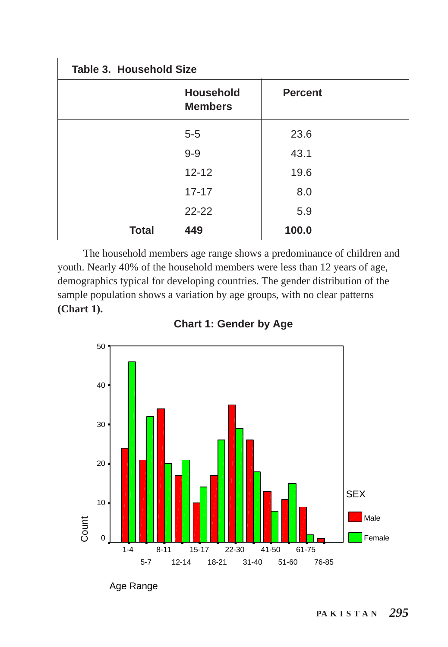| Table 3. Household Size |                                    |                |  |
|-------------------------|------------------------------------|----------------|--|
|                         | <b>Household</b><br><b>Members</b> | <b>Percent</b> |  |
|                         | $5 - 5$                            | 23.6           |  |
|                         | $9 - 9$                            | 43.1           |  |
|                         | $12 - 12$                          | 19.6           |  |
|                         | $17 - 17$                          | 8.0            |  |
|                         | $22 - 22$                          | 5.9            |  |
| <b>Total</b>            | 449                                | 100.0          |  |

The household members age range shows a predominance of children and youth. Nearly 40% of the household members were less than 12 years of age, demographics typical for developing countries. The gender distribution of the sample population shows a variation by age groups, with no clear patterns **(Chart 1).**



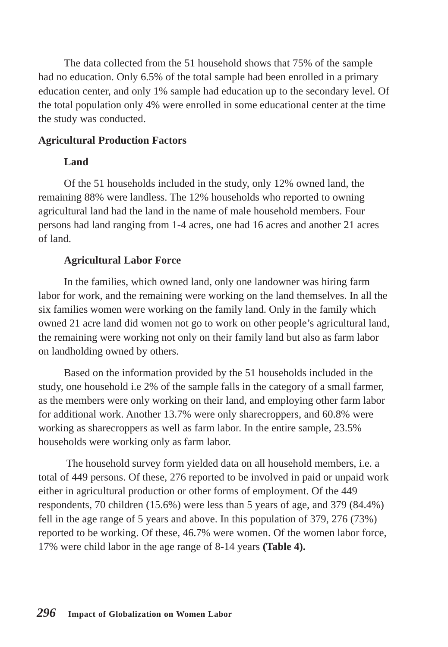The data collected from the 51 household shows that 75% of the sample had no education. Only 6.5% of the total sample had been enrolled in a primary education center, and only 1% sample had education up to the secondary level. Of the total population only 4% were enrolled in some educational center at the time the study was conducted.

### **Agricultural Production Factors**

#### **Land**

Of the 51 households included in the study, only 12% owned land, the remaining 88% were landless. The 12% households who reported to owning agricultural land had the land in the name of male household members. Four persons had land ranging from 1-4 acres, one had 16 acres and another 21 acres of land.

#### **Agricultural Labor Force**

In the families, which owned land, only one landowner was hiring farm labor for work, and the remaining were working on the land themselves. In all the six families women were working on the family land. Only in the family which owned 21 acre land did women not go to work on other people's agricultural land, the remaining were working not only on their family land but also as farm labor on landholding owned by others.

Based on the information provided by the 51 households included in the study, one household i.e 2% of the sample falls in the category of a small farmer, as the members were only working on their land, and employing other farm labor for additional work. Another 13.7% were only sharecroppers, and 60.8% were working as sharecroppers as well as farm labor. In the entire sample, 23.5% households were working only as farm labor.

 The household survey form yielded data on all household members, i.e. a total of 449 persons. Of these, 276 reported to be involved in paid or unpaid work either in agricultural production or other forms of employment. Of the 449 respondents, 70 children (15.6%) were less than 5 years of age, and 379 (84.4%) fell in the age range of 5 years and above. In this population of 379, 276 (73%) reported to be working. Of these, 46.7% were women. Of the women labor force, 17% were child labor in the age range of 8-14 years **(Table 4).**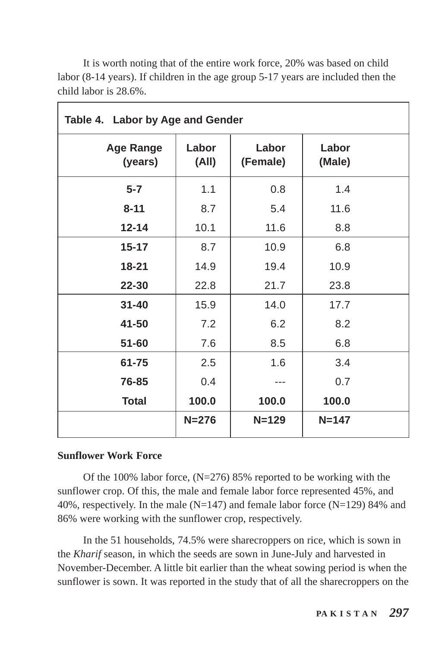| Table 4. Labor by Age and Gender |                |                   |                 |  |
|----------------------------------|----------------|-------------------|-----------------|--|
| <b>Age Range</b><br>(years)      | Labor<br>(All) | Labor<br>(Female) | Labor<br>(Male) |  |
| $5 - 7$                          | 1.1            | 0.8               | 1.4             |  |
| $8 - 11$                         | 8.7            | 5.4               | 11.6            |  |
| $12 - 14$                        | 10.1           | 11.6              | 8.8             |  |
| $15 - 17$                        | 8.7            | 10.9              | 6.8             |  |
| $18 - 21$                        | 14.9           | 19.4              | 10.9            |  |
| 22-30                            | 22.8           | 21.7              | 23.8            |  |
| $31 - 40$                        | 15.9           | 14.0              | 17.7            |  |
| 41-50                            | 7.2            | 6.2               | 8.2             |  |
| $51 - 60$                        | 7.6            | 8.5               | 6.8             |  |
| 61-75                            | 2.5            | 1.6               | 3.4             |  |
| 76-85                            | 0.4            |                   | 0.7             |  |
| <b>Total</b>                     | 100.0          | 100.0             | 100.0           |  |
|                                  | $N = 276$      | $N = 129$         | $N = 147$       |  |

It is worth noting that of the entire work force, 20% was based on child labor (8-14 years). If children in the age group 5-17 years are included then the child labor is 28.6%.

#### **Sunflower Work Force**

Of the 100% labor force, (N=276) 85% reported to be working with the sunflower crop. Of this, the male and female labor force represented 45%, and 40%, respectively. In the male ( $N=147$ ) and female labor force ( $N=129$ ) 84% and 86% were working with the sunflower crop, respectively.

In the 51 households, 74.5% were sharecroppers on rice, which is sown in the *Kharif* season, in which the seeds are sown in June-July and harvested in November-December. A little bit earlier than the wheat sowing period is when the sunflower is sown. It was reported in the study that of all the sharecroppers on the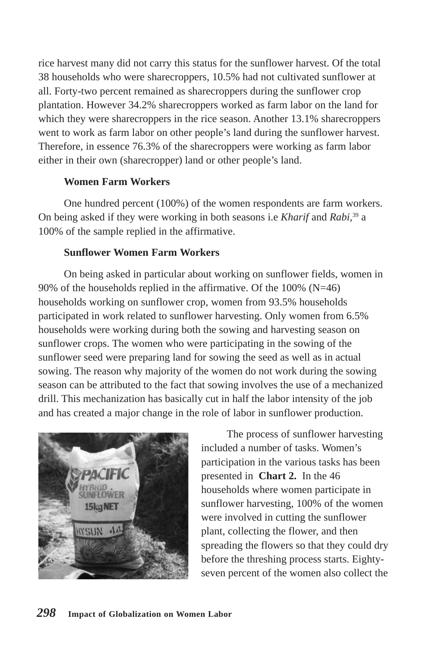rice harvest many did not carry this status for the sunflower harvest. Of the total 38 households who were sharecroppers, 10.5% had not cultivated sunflower at all. Forty-two percent remained as sharecroppers during the sunflower crop plantation. However 34.2% sharecroppers worked as farm labor on the land for which they were sharecroppers in the rice season. Another 13.1% sharecroppers went to work as farm labor on other people's land during the sunflower harvest. Therefore, in essence 76.3% of the sharecroppers were working as farm labor either in their own (sharecropper) land or other people's land.

### **Women Farm Workers**

One hundred percent (100%) of the women respondents are farm workers. On being asked if they were working in both seasons i.e *Kharif* and *Rabi,*<sup>39</sup> a 100% of the sample replied in the affirmative.

### **Sunflower Women Farm Workers**

On being asked in particular about working on sunflower fields, women in 90% of the households replied in the affirmative. Of the 100% (N=46) households working on sunflower crop, women from 93.5% households participated in work related to sunflower harvesting. Only women from 6.5% households were working during both the sowing and harvesting season on sunflower crops. The women who were participating in the sowing of the sunflower seed were preparing land for sowing the seed as well as in actual sowing. The reason why majority of the women do not work during the sowing season can be attributed to the fact that sowing involves the use of a mechanized drill. This mechanization has basically cut in half the labor intensity of the job and has created a major change in the role of labor in sunflower production.



The process of sunflower harvesting included a number of tasks. Women's participation in the various tasks has been presented in **Chart 2.** In the 46 households where women participate in sunflower harvesting, 100% of the women were involved in cutting the sunflower plant, collecting the flower, and then spreading the flowers so that they could dry before the threshing process starts. Eightyseven percent of the women also collect the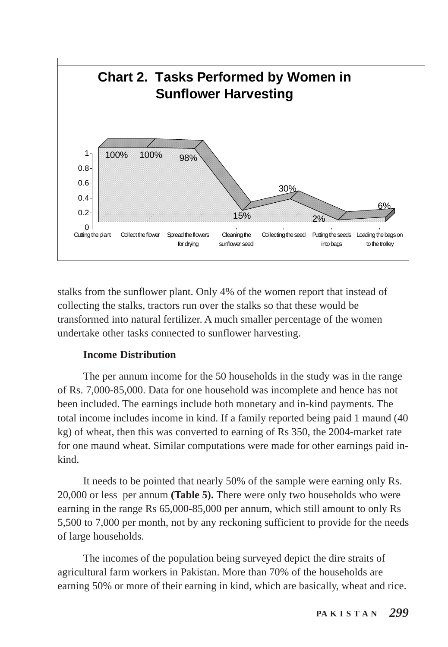

stalks from the sunflower plant. Only 4% of the women report that instead of collecting the stalks, tractors run over the stalks so that these would be transformed into natural fertilizer. A much smaller percentage of the women undertake other tasks connected to sunflower harvesting.

#### **Income Distribution**

The per annum income for the 50 households in the study was in the range of Rs. 7,000-85,000. Data for one household was incomplete and hence has not been included. The earnings include both monetary and in-kind payments. The total income includes income in kind. If a family reported being paid 1 maund (40 kg) of wheat, then this was converted to earning of Rs 350, the 2004-market rate for one maund wheat. Similar computations were made for other earnings paid inkind.

It needs to be pointed that nearly 50% of the sample were earning only Rs. 20,000 or less per annum **(Table 5).** There were only two households who were earning in the range Rs 65,000-85,000 per annum, which still amount to only Rs 5,500 to 7,000 per month, not by any reckoning sufficient to provide for the needs of large households.

The incomes of the population being surveyed depict the dire straits of agricultural farm workers in Pakistan. More than 70% of the households are earning 50% or more of their earning in kind, which are basically, wheat and rice.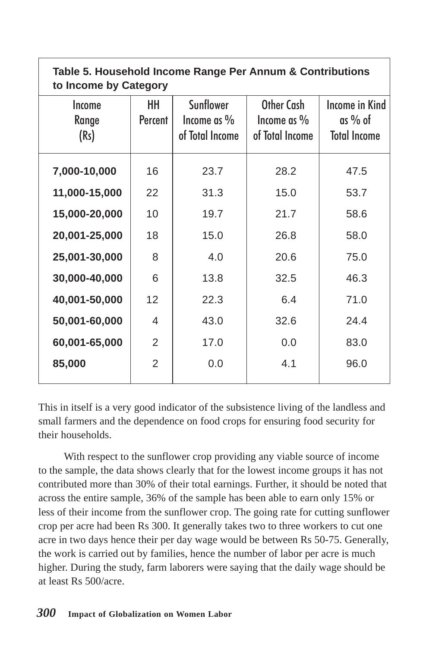| Table 5. Household Income Range Per Annum & Contributions<br>to Income by Category |               |                                                       |                                              |                                                    |
|------------------------------------------------------------------------------------|---------------|-------------------------------------------------------|----------------------------------------------|----------------------------------------------------|
| Income<br>Range<br>(Rs)                                                            | HH<br>Percent | <b>Sunflower</b><br>Income as $\%$<br>of Total Income | Other Cash<br>Income as %<br>of Total Income | Income in Kind<br>$as\%$ of<br><b>Total Income</b> |
| 7,000-10,000                                                                       | 16            | 23.7                                                  | 28.2                                         | 47.5                                               |
| 11,000-15,000                                                                      | 22            | 31.3                                                  | 15.0                                         | 53.7                                               |
| 15,000-20,000                                                                      | 10            | 19.7                                                  | 21.7                                         | 58.6                                               |
| 20,001-25,000                                                                      | 18            | 15.0                                                  | 26.8                                         | 58.0                                               |
| 25,001-30,000                                                                      | 8             | 4.0                                                   | 20.6                                         | 75.0                                               |
| 30,000-40,000                                                                      | 6             | 13.8                                                  | 32.5                                         | 46.3                                               |
| 40,001-50,000                                                                      | 12            | 22.3                                                  | 6.4                                          | 71.0                                               |
| 50,001-60,000                                                                      | 4             | 43.0                                                  | 32.6                                         | 24.4                                               |
| 60,001-65,000                                                                      | 2             | 17.0                                                  | 0.0                                          | 83.0                                               |
| 85,000                                                                             | 2             | 0.0                                                   | 4.1                                          | 96.0                                               |

This in itself is a very good indicator of the subsistence living of the landless and small farmers and the dependence on food crops for ensuring food security for their households.

With respect to the sunflower crop providing any viable source of income to the sample, the data shows clearly that for the lowest income groups it has not contributed more than 30% of their total earnings. Further, it should be noted that across the entire sample, 36% of the sample has been able to earn only 15% or less of their income from the sunflower crop. The going rate for cutting sunflower crop per acre had been Rs 300. It generally takes two to three workers to cut one acre in two days hence their per day wage would be between Rs 50-75. Generally, the work is carried out by families, hence the number of labor per acre is much higher. During the study, farm laborers were saying that the daily wage should be at least Rs 500/acre.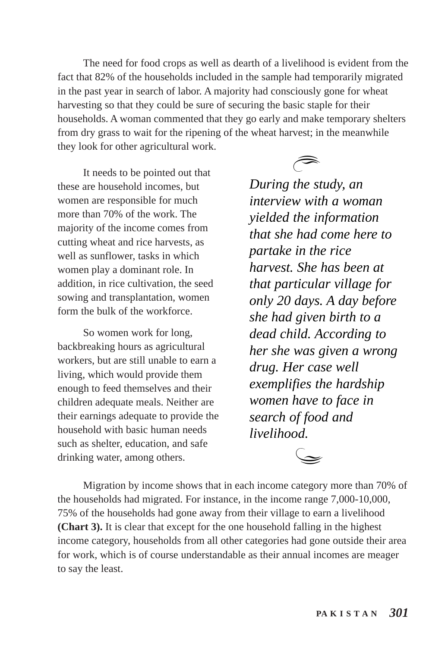The need for food crops as well as dearth of a livelihood is evident from the fact that 82% of the households included in the sample had temporarily migrated in the past year in search of labor. A majority had consciously gone for wheat harvesting so that they could be sure of securing the basic staple for their households. A woman commented that they go early and make temporary shelters from dry grass to wait for the ripening of the wheat harvest; in the meanwhile they look for other agricultural work.<br>It needs to be pointed out that

these are household incomes, but women are responsible for much more than 70% of the work. The majority of the income comes from cutting wheat and rice harvests, as well as sunflower, tasks in which women play a dominant role. In addition, in rice cultivation, the seed sowing and transplantation, women form the bulk of the workforce.

So women work for long, backbreaking hours as agricultural workers, but are still unable to earn a living, which would provide them enough to feed themselves and their children adequate meals. Neither are their earnings adequate to provide the household with basic human needs such as shelter, education, and safe drinking water, among others.

*During the study, an interview with a woman yielded the information that she had come here to partake in the rice harvest. She has been at that particular village for only 20 days. A day before she had given birth to a dead child. According to her she was given a wrong drug. Her case well exemplifies the hardship women have to face in search of food and livelihood.*

Migration by income shows that in each income category more than 70% of the households had migrated. For instance, in the income range 7,000-10,000, 75% of the households had gone away from their village to earn a livelihood **(Chart 3).** It is clear that except for the one household falling in the highest income category, households from all other categories had gone outside their area for work, which is of course understandable as their annual incomes are meager to say the least.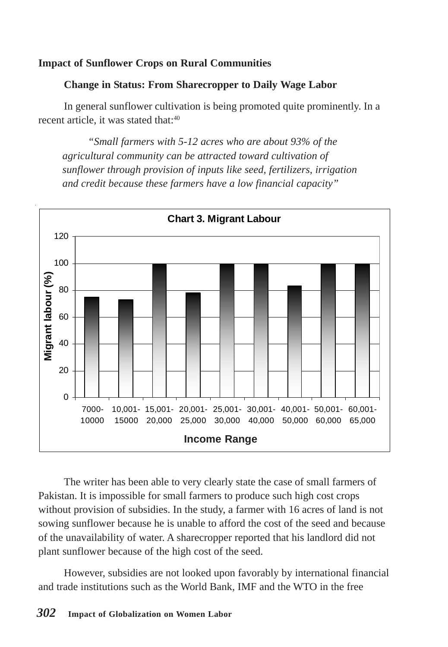## **Impact of Sunflower Crops on Rural Communities**

#### **Change in Status: From Sharecropper to Daily Wage Labor**

In general sunflower cultivation is being promoted quite prominently. In a recent article, it was stated that:<sup>40</sup>

*"Small farmers with 5-12 acres who are about 93% of the agricultural community can be attracted toward cultivation of sunflower through provision of inputs like seed, fertilizers, irrigation and credit because these farmers have a low financial capacity"*



The writer has been able to very clearly state the case of small farmers of Pakistan. It is impossible for small farmers to produce such high cost crops without provision of subsidies. In the study, a farmer with 16 acres of land is not sowing sunflower because he is unable to afford the cost of the seed and because of the unavailability of water. A sharecropper reported that his landlord did not plant sunflower because of the high cost of the seed.

However, subsidies are not looked upon favorably by international financial and trade institutions such as the World Bank, IMF and the WTO in the free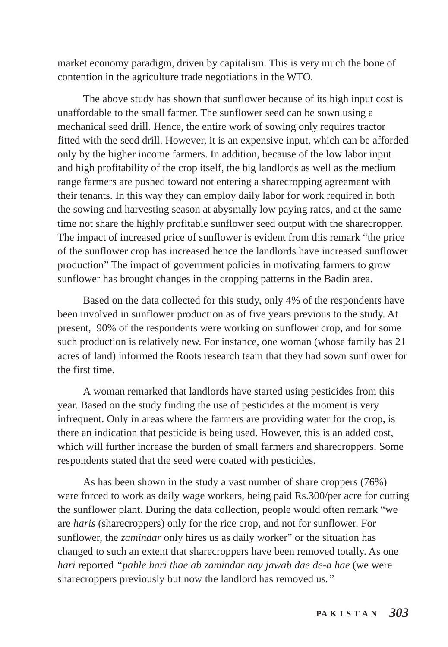market economy paradigm, driven by capitalism. This is very much the bone of contention in the agriculture trade negotiations in the WTO.

The above study has shown that sunflower because of its high input cost is unaffordable to the small farmer. The sunflower seed can be sown using a mechanical seed drill. Hence, the entire work of sowing only requires tractor fitted with the seed drill. However, it is an expensive input, which can be afforded only by the higher income farmers. In addition, because of the low labor input and high profitability of the crop itself, the big landlords as well as the medium range farmers are pushed toward not entering a sharecropping agreement with their tenants. In this way they can employ daily labor for work required in both the sowing and harvesting season at abysmally low paying rates, and at the same time not share the highly profitable sunflower seed output with the sharecropper. The impact of increased price of sunflower is evident from this remark "the price of the sunflower crop has increased hence the landlords have increased sunflower production" The impact of government policies in motivating farmers to grow sunflower has brought changes in the cropping patterns in the Badin area.

Based on the data collected for this study, only 4% of the respondents have been involved in sunflower production as of five years previous to the study. At present, 90% of the respondents were working on sunflower crop, and for some such production is relatively new. For instance, one woman (whose family has 21 acres of land) informed the Roots research team that they had sown sunflower for the first time.

A woman remarked that landlords have started using pesticides from this year. Based on the study finding the use of pesticides at the moment is very infrequent. Only in areas where the farmers are providing water for the crop, is there an indication that pesticide is being used. However, this is an added cost, which will further increase the burden of small farmers and sharecroppers. Some respondents stated that the seed were coated with pesticides.

As has been shown in the study a vast number of share croppers (76%) were forced to work as daily wage workers, being paid Rs.300/per acre for cutting the sunflower plant. During the data collection, people would often remark "we are *haris* (sharecroppers) only for the rice crop, and not for sunflower. For sunflower, the *zamindar* only hires us as daily worker" or the situation has changed to such an extent that sharecroppers have been removed totally. As one *hari* reported *"pahle hari thae ab zamindar nay jawab dae de-a hae* (we were sharecroppers previously but now the landlord has removed us*."*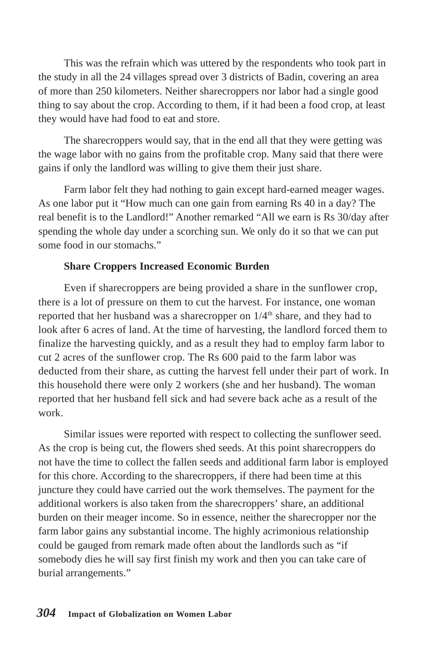This was the refrain which was uttered by the respondents who took part in the study in all the 24 villages spread over 3 districts of Badin, covering an area of more than 250 kilometers. Neither sharecroppers nor labor had a single good thing to say about the crop. According to them, if it had been a food crop, at least they would have had food to eat and store.

The sharecroppers would say, that in the end all that they were getting was the wage labor with no gains from the profitable crop. Many said that there were gains if only the landlord was willing to give them their just share.

Farm labor felt they had nothing to gain except hard-earned meager wages. As one labor put it "How much can one gain from earning Rs 40 in a day? The real benefit is to the Landlord!" Another remarked "All we earn is Rs 30/day after spending the whole day under a scorching sun. We only do it so that we can put some food in our stomachs."

## **Share Croppers Increased Economic Burden**

Even if sharecroppers are being provided a share in the sunflower crop, there is a lot of pressure on them to cut the harvest. For instance, one woman reported that her husband was a sharecropper on  $1/4<sup>th</sup>$  share, and they had to look after 6 acres of land. At the time of harvesting, the landlord forced them to finalize the harvesting quickly, and as a result they had to employ farm labor to cut 2 acres of the sunflower crop. The Rs 600 paid to the farm labor was deducted from their share, as cutting the harvest fell under their part of work. In this household there were only 2 workers (she and her husband). The woman reported that her husband fell sick and had severe back ache as a result of the work.

Similar issues were reported with respect to collecting the sunflower seed. As the crop is being cut, the flowers shed seeds. At this point sharecroppers do not have the time to collect the fallen seeds and additional farm labor is employed for this chore. According to the sharecroppers, if there had been time at this juncture they could have carried out the work themselves. The payment for the additional workers is also taken from the sharecroppers' share, an additional burden on their meager income. So in essence, neither the sharecropper nor the farm labor gains any substantial income. The highly acrimonious relationship could be gauged from remark made often about the landlords such as "if somebody dies he will say first finish my work and then you can take care of burial arrangements."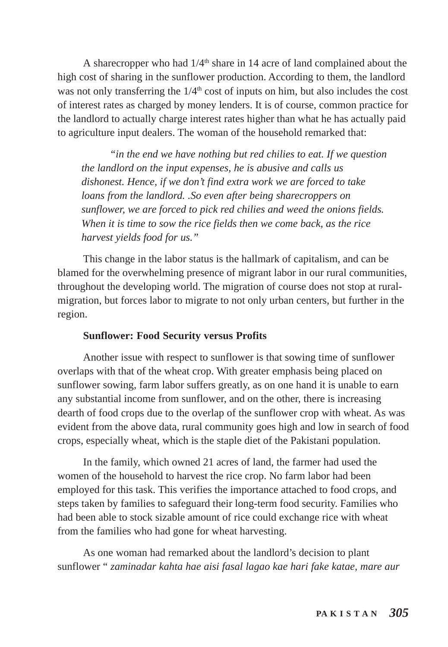A sharecropper who had  $1/4<sup>th</sup>$  share in 14 acre of land complained about the high cost of sharing in the sunflower production. According to them, the landlord was not only transferring the  $1/4<sup>th</sup>$  cost of inputs on him, but also includes the cost of interest rates as charged by money lenders. It is of course, common practice for the landlord to actually charge interest rates higher than what he has actually paid to agriculture input dealers. The woman of the household remarked that:

 *"in the end we have nothing but red chilies to eat. If we question the landlord on the input expenses, he is abusive and calls us dishonest. Hence, if we don't find extra work we are forced to take loans from the landlord. .So even after being sharecroppers on sunflower, we are forced to pick red chilies and weed the onions fields. When it is time to sow the rice fields then we come back, as the rice harvest yields food for us."*

This change in the labor status is the hallmark of capitalism, and can be blamed for the overwhelming presence of migrant labor in our rural communities, throughout the developing world. The migration of course does not stop at ruralmigration, but forces labor to migrate to not only urban centers, but further in the region.

### **Sunflower: Food Security versus Profits**

Another issue with respect to sunflower is that sowing time of sunflower overlaps with that of the wheat crop. With greater emphasis being placed on sunflower sowing, farm labor suffers greatly, as on one hand it is unable to earn any substantial income from sunflower, and on the other, there is increasing dearth of food crops due to the overlap of the sunflower crop with wheat. As was evident from the above data, rural community goes high and low in search of food crops, especially wheat, which is the staple diet of the Pakistani population.

In the family, which owned 21 acres of land, the farmer had used the women of the household to harvest the rice crop. No farm labor had been employed for this task. This verifies the importance attached to food crops, and steps taken by families to safeguard their long-term food security. Families who had been able to stock sizable amount of rice could exchange rice with wheat from the families who had gone for wheat harvesting.

As one woman had remarked about the landlord's decision to plant sunflower " *zaminadar kahta hae aisi fasal lagao kae hari fake katae, mare aur*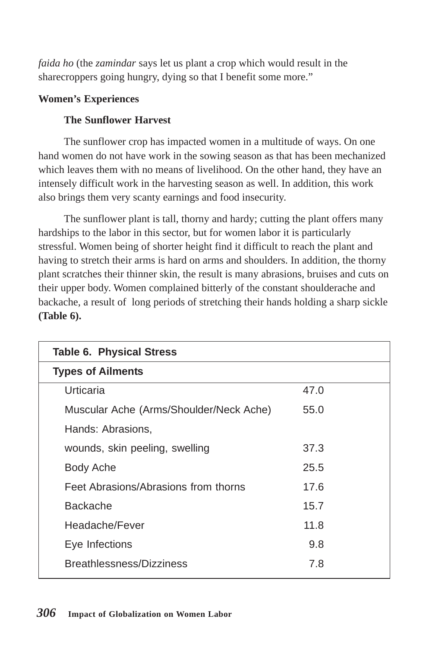*faida ho* (the *zamindar* says let us plant a crop which would result in the sharecroppers going hungry, dying so that I benefit some more."

## **Women's Experiences**

# **The Sunflower Harvest**

The sunflower crop has impacted women in a multitude of ways. On one hand women do not have work in the sowing season as that has been mechanized which leaves them with no means of livelihood. On the other hand, they have an intensely difficult work in the harvesting season as well. In addition, this work also brings them very scanty earnings and food insecurity.

The sunflower plant is tall, thorny and hardy; cutting the plant offers many hardships to the labor in this sector, but for women labor it is particularly stressful. Women being of shorter height find it difficult to reach the plant and having to stretch their arms is hard on arms and shoulders. In addition, the thorny plant scratches their thinner skin, the result is many abrasions, bruises and cuts on their upper body. Women complained bitterly of the constant shoulderache and backache, a result of long periods of stretching their hands holding a sharp sickle **(Table 6).**

| <b>Table 6. Physical Stress</b>         |      |  |
|-----------------------------------------|------|--|
| <b>Types of Ailments</b>                |      |  |
| Urticaria                               | 47.0 |  |
| Muscular Ache (Arms/Shoulder/Neck Ache) | 55.0 |  |
| Hands: Abrasions,                       |      |  |
| wounds, skin peeling, swelling          | 37.3 |  |
| Body Ache                               | 25.5 |  |
| Feet Abrasions/Abrasions from thorns    | 17.6 |  |
| <b>Backache</b>                         | 15.7 |  |
| Headache/Fever                          | 11.8 |  |
| Eye Infections                          | 9.8  |  |
| Breathlessness/Dizziness                | 7.8  |  |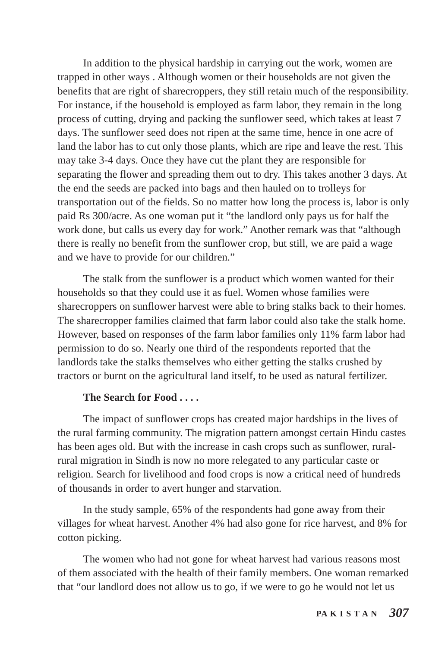In addition to the physical hardship in carrying out the work, women are trapped in other ways . Although women or their households are not given the benefits that are right of sharecroppers, they still retain much of the responsibility. For instance, if the household is employed as farm labor, they remain in the long process of cutting, drying and packing the sunflower seed, which takes at least 7 days. The sunflower seed does not ripen at the same time, hence in one acre of land the labor has to cut only those plants, which are ripe and leave the rest. This may take 3-4 days. Once they have cut the plant they are responsible for separating the flower and spreading them out to dry. This takes another 3 days. At the end the seeds are packed into bags and then hauled on to trolleys for transportation out of the fields. So no matter how long the process is, labor is only paid Rs 300/acre. As one woman put it "the landlord only pays us for half the work done, but calls us every day for work." Another remark was that "although there is really no benefit from the sunflower crop, but still, we are paid a wage and we have to provide for our children."

The stalk from the sunflower is a product which women wanted for their households so that they could use it as fuel. Women whose families were sharecroppers on sunflower harvest were able to bring stalks back to their homes. The sharecropper families claimed that farm labor could also take the stalk home. However, based on responses of the farm labor families only 11% farm labor had permission to do so. Nearly one third of the respondents reported that the landlords take the stalks themselves who either getting the stalks crushed by tractors or burnt on the agricultural land itself, to be used as natural fertilizer.

#### **The Search for Food . . . .**

The impact of sunflower crops has created major hardships in the lives of the rural farming community. The migration pattern amongst certain Hindu castes has been ages old. But with the increase in cash crops such as sunflower, ruralrural migration in Sindh is now no more relegated to any particular caste or religion. Search for livelihood and food crops is now a critical need of hundreds of thousands in order to avert hunger and starvation.

In the study sample, 65% of the respondents had gone away from their villages for wheat harvest. Another 4% had also gone for rice harvest, and 8% for cotton picking.

The women who had not gone for wheat harvest had various reasons most of them associated with the health of their family members. One woman remarked that "our landlord does not allow us to go, if we were to go he would not let us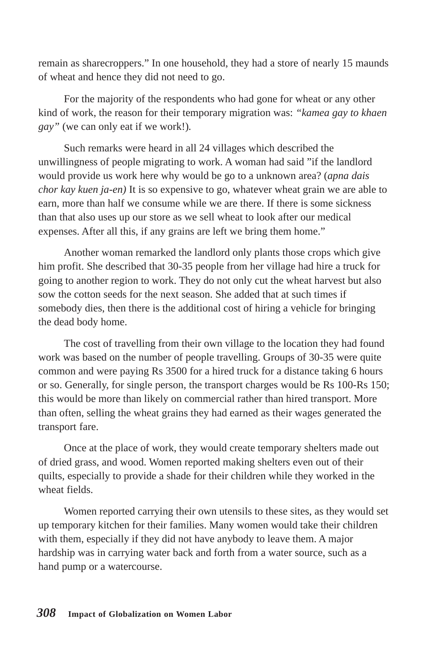remain as sharecroppers." In one household, they had a store of nearly 15 maunds of wheat and hence they did not need to go.

For the majority of the respondents who had gone for wheat or any other kind of work, the reason for their temporary migration was: *"kamea gay to khaen gay"* (we can only eat if we work!)*.*

Such remarks were heard in all 24 villages which described the unwillingness of people migrating to work. A woman had said "if the landlord would provide us work here why would be go to a unknown area? (*apna dais chor kay kuen ja-en)* It is so expensive to go, whatever wheat grain we are able to earn, more than half we consume while we are there. If there is some sickness than that also uses up our store as we sell wheat to look after our medical expenses. After all this, if any grains are left we bring them home."

Another woman remarked the landlord only plants those crops which give him profit. She described that 30-35 people from her village had hire a truck for going to another region to work. They do not only cut the wheat harvest but also sow the cotton seeds for the next season. She added that at such times if somebody dies, then there is the additional cost of hiring a vehicle for bringing the dead body home.

The cost of travelling from their own village to the location they had found work was based on the number of people travelling. Groups of 30-35 were quite common and were paying Rs 3500 for a hired truck for a distance taking 6 hours or so. Generally, for single person, the transport charges would be Rs 100-Rs 150; this would be more than likely on commercial rather than hired transport. More than often, selling the wheat grains they had earned as their wages generated the transport fare.

Once at the place of work, they would create temporary shelters made out of dried grass, and wood. Women reported making shelters even out of their quilts, especially to provide a shade for their children while they worked in the wheat fields.

Women reported carrying their own utensils to these sites, as they would set up temporary kitchen for their families. Many women would take their children with them, especially if they did not have anybody to leave them. A major hardship was in carrying water back and forth from a water source, such as a hand pump or a watercourse.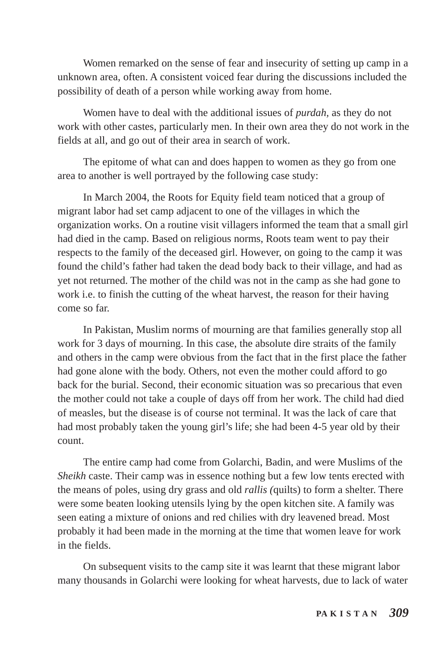Women remarked on the sense of fear and insecurity of setting up camp in a unknown area, often. A consistent voiced fear during the discussions included the possibility of death of a person while working away from home.

Women have to deal with the additional issues of *purdah,* as they do not work with other castes, particularly men. In their own area they do not work in the fields at all, and go out of their area in search of work.

The epitome of what can and does happen to women as they go from one area to another is well portrayed by the following case study:

In March 2004, the Roots for Equity field team noticed that a group of migrant labor had set camp adjacent to one of the villages in which the organization works. On a routine visit villagers informed the team that a small girl had died in the camp. Based on religious norms, Roots team went to pay their respects to the family of the deceased girl. However, on going to the camp it was found the child's father had taken the dead body back to their village, and had as yet not returned. The mother of the child was not in the camp as she had gone to work i.e. to finish the cutting of the wheat harvest, the reason for their having come so far.

In Pakistan, Muslim norms of mourning are that families generally stop all work for 3 days of mourning. In this case, the absolute dire straits of the family and others in the camp were obvious from the fact that in the first place the father had gone alone with the body. Others, not even the mother could afford to go back for the burial. Second, their economic situation was so precarious that even the mother could not take a couple of days off from her work. The child had died of measles, but the disease is of course not terminal. It was the lack of care that had most probably taken the young girl's life; she had been 4-5 year old by their count.

The entire camp had come from Golarchi, Badin, and were Muslims of the *Sheikh* caste. Their camp was in essence nothing but a few low tents erected with the means of poles, using dry grass and old *rallis (*quilts) to form a shelter. There were some beaten looking utensils lying by the open kitchen site. A family was seen eating a mixture of onions and red chilies with dry leavened bread. Most probably it had been made in the morning at the time that women leave for work in the fields.

On subsequent visits to the camp site it was learnt that these migrant labor many thousands in Golarchi were looking for wheat harvests, due to lack of water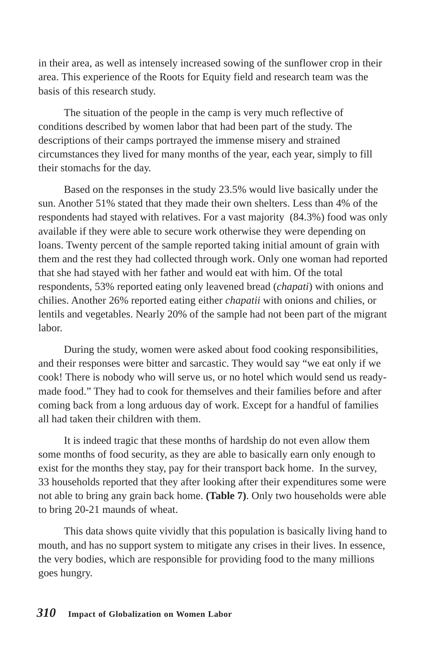in their area, as well as intensely increased sowing of the sunflower crop in their area. This experience of the Roots for Equity field and research team was the basis of this research study.

The situation of the people in the camp is very much reflective of conditions described by women labor that had been part of the study. The descriptions of their camps portrayed the immense misery and strained circumstances they lived for many months of the year, each year, simply to fill their stomachs for the day.

Based on the responses in the study 23.5% would live basically under the sun. Another 51% stated that they made their own shelters. Less than 4% of the respondents had stayed with relatives. For a vast majority (84.3%) food was only available if they were able to secure work otherwise they were depending on loans. Twenty percent of the sample reported taking initial amount of grain with them and the rest they had collected through work. Only one woman had reported that she had stayed with her father and would eat with him. Of the total respondents, 53% reported eating only leavened bread (*chapati*) with onions and chilies. Another 26% reported eating either *chapatii* with onions and chilies, or lentils and vegetables. Nearly 20% of the sample had not been part of the migrant labor.

During the study, women were asked about food cooking responsibilities, and their responses were bitter and sarcastic. They would say "we eat only if we cook! There is nobody who will serve us, or no hotel which would send us readymade food." They had to cook for themselves and their families before and after coming back from a long arduous day of work. Except for a handful of families all had taken their children with them.

It is indeed tragic that these months of hardship do not even allow them some months of food security, as they are able to basically earn only enough to exist for the months they stay, pay for their transport back home. In the survey, 33 households reported that they after looking after their expenditures some were not able to bring any grain back home. **(Table 7)**. Only two households were able to bring 20-21 maunds of wheat.

This data shows quite vividly that this population is basically living hand to mouth, and has no support system to mitigate any crises in their lives. In essence, the very bodies, which are responsible for providing food to the many millions goes hungry.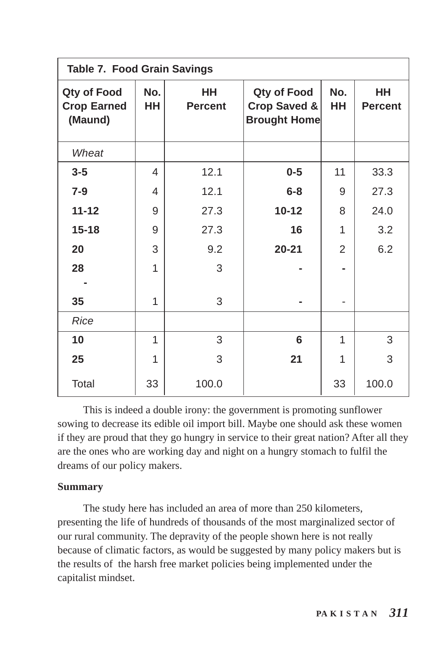| <b>Table 7. Food Grain Savings</b>           |                  |                      |                                                               |                |                      |
|----------------------------------------------|------------------|----------------------|---------------------------------------------------------------|----------------|----------------------|
| Qty of Food<br><b>Crop Earned</b><br>(Maund) | No.<br><b>HH</b> | HH<br><b>Percent</b> | Qty of Food<br><b>Crop Saved &amp;</b><br><b>Brought Home</b> | No.<br>HH      | HH<br><b>Percent</b> |
| Wheat                                        |                  |                      |                                                               |                |                      |
| $3 - 5$                                      | 4                | 12.1                 | $0 - 5$                                                       | 11             | 33.3                 |
| $7-9$                                        | 4                | 12.1                 | $6 - 8$                                                       | 9              | 27.3                 |
| $11 - 12$                                    | 9                | 27.3                 | $10 - 12$                                                     | 8              | 24.0                 |
| $15 - 18$                                    | 9                | 27.3                 | 16                                                            | 1              | 3.2                  |
| 20                                           | 3                | 9.2                  | $20 - 21$                                                     | $\overline{2}$ | 6.2                  |
| 28                                           | 1                | 3                    |                                                               |                |                      |
|                                              |                  |                      |                                                               |                |                      |
| 35                                           | 1                | 3                    |                                                               |                |                      |
| <b>Rice</b>                                  |                  |                      |                                                               |                |                      |
| 10                                           | 1                | 3                    | 6                                                             | 1              | 3                    |
| 25                                           | 1                | 3                    | 21                                                            | 1              | 3                    |
| Total                                        | 33               | 100.0                |                                                               | 33             | 100.0                |

This is indeed a double irony: the government is promoting sunflower sowing to decrease its edible oil import bill. Maybe one should ask these women if they are proud that they go hungry in service to their great nation? After all they are the ones who are working day and night on a hungry stomach to fulfil the dreams of our policy makers.

### **Summary**

The study here has included an area of more than 250 kilometers, presenting the life of hundreds of thousands of the most marginalized sector of our rural community. The depravity of the people shown here is not really because of climatic factors, as would be suggested by many policy makers but is the results of the harsh free market policies being implemented under the capitalist mindset.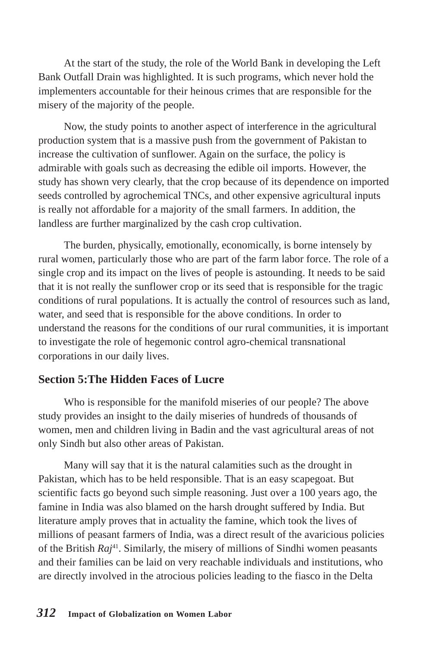At the start of the study, the role of the World Bank in developing the Left Bank Outfall Drain was highlighted. It is such programs, which never hold the implementers accountable for their heinous crimes that are responsible for the misery of the majority of the people.

Now, the study points to another aspect of interference in the agricultural production system that is a massive push from the government of Pakistan to increase the cultivation of sunflower. Again on the surface, the policy is admirable with goals such as decreasing the edible oil imports. However, the study has shown very clearly, that the crop because of its dependence on imported seeds controlled by agrochemical TNCs, and other expensive agricultural inputs is really not affordable for a majority of the small farmers. In addition, the landless are further marginalized by the cash crop cultivation.

The burden, physically, emotionally, economically, is borne intensely by rural women, particularly those who are part of the farm labor force. The role of a single crop and its impact on the lives of people is astounding. It needs to be said that it is not really the sunflower crop or its seed that is responsible for the tragic conditions of rural populations. It is actually the control of resources such as land, water, and seed that is responsible for the above conditions. In order to understand the reasons for the conditions of our rural communities, it is important to investigate the role of hegemonic control agro-chemical transnational corporations in our daily lives.

# **Section 5:The Hidden Faces of Lucre**

Who is responsible for the manifold miseries of our people? The above study provides an insight to the daily miseries of hundreds of thousands of women, men and children living in Badin and the vast agricultural areas of not only Sindh but also other areas of Pakistan.

Many will say that it is the natural calamities such as the drought in Pakistan, which has to be held responsible. That is an easy scapegoat. But scientific facts go beyond such simple reasoning. Just over a 100 years ago, the famine in India was also blamed on the harsh drought suffered by India. But literature amply proves that in actuality the famine, which took the lives of millions of peasant farmers of India, was a direct result of the avaricious policies of the British *Raj*41. Similarly, the misery of millions of Sindhi women peasants and their families can be laid on very reachable individuals and institutions, who are directly involved in the atrocious policies leading to the fiasco in the Delta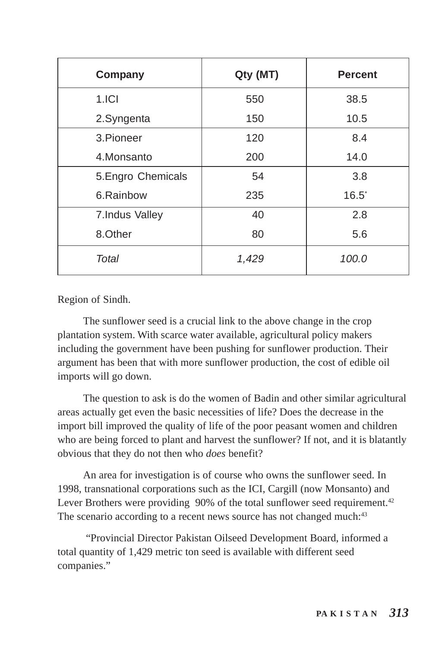| Company            | Qty (MT) | <b>Percent</b> |
|--------------------|----------|----------------|
| 1.ICI              | 550      | 38.5           |
| 2.Syngenta         | 150      | 10.5           |
| 3. Pioneer         | 120      | 8.4            |
| 4.Monsanto         | 200      | 14.0           |
| 5. Engro Chemicals | 54       | 3.8            |
| 6.Rainbow          | 235      | $16.5^{\circ}$ |
| 7. Indus Valley    | 40       | 2.8            |
| 8.Other            | 80       | 5.6            |
| Total              | 1,429    | 100.0          |

Region of Sindh.

The sunflower seed is a crucial link to the above change in the crop plantation system. With scarce water available, agricultural policy makers including the government have been pushing for sunflower production. Their argument has been that with more sunflower production, the cost of edible oil imports will go down.

The question to ask is do the women of Badin and other similar agricultural areas actually get even the basic necessities of life? Does the decrease in the import bill improved the quality of life of the poor peasant women and children who are being forced to plant and harvest the sunflower? If not, and it is blatantly obvious that they do not then who *does* benefit?

An area for investigation is of course who owns the sunflower seed. In 1998, transnational corporations such as the ICI, Cargill (now Monsanto) and Lever Brothers were providing 90% of the total sunflower seed requirement.<sup>42</sup> The scenario according to a recent news source has not changed much:<sup>43</sup>

 "Provincial Director Pakistan Oilseed Development Board, informed a total quantity of 1,429 metric ton seed is available with different seed companies."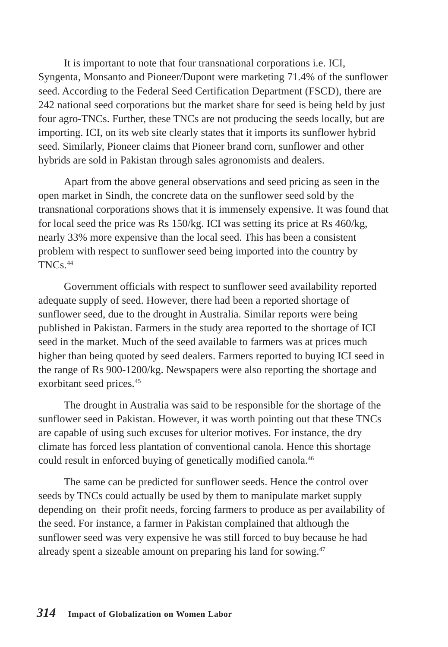It is important to note that four transnational corporations i.e. ICI, Syngenta, Monsanto and Pioneer/Dupont were marketing 71.4% of the sunflower seed. According to the Federal Seed Certification Department (FSCD), there are 242 national seed corporations but the market share for seed is being held by just four agro-TNCs. Further, these TNCs are not producing the seeds locally, but are importing. ICI, on its web site clearly states that it imports its sunflower hybrid seed. Similarly, Pioneer claims that Pioneer brand corn, sunflower and other hybrids are sold in Pakistan through sales agronomists and dealers.

Apart from the above general observations and seed pricing as seen in the open market in Sindh, the concrete data on the sunflower seed sold by the transnational corporations shows that it is immensely expensive. It was found that for local seed the price was Rs 150/kg. ICI was setting its price at Rs 460/kg, nearly 33% more expensive than the local seed. This has been a consistent problem with respect to sunflower seed being imported into the country by TNCs.44

Government officials with respect to sunflower seed availability reported adequate supply of seed. However, there had been a reported shortage of sunflower seed, due to the drought in Australia. Similar reports were being published in Pakistan. Farmers in the study area reported to the shortage of ICI seed in the market. Much of the seed available to farmers was at prices much higher than being quoted by seed dealers. Farmers reported to buying ICI seed in the range of Rs 900-1200/kg. Newspapers were also reporting the shortage and exorbitant seed prices.45

The drought in Australia was said to be responsible for the shortage of the sunflower seed in Pakistan. However, it was worth pointing out that these TNCs are capable of using such excuses for ulterior motives. For instance, the dry climate has forced less plantation of conventional canola. Hence this shortage could result in enforced buying of genetically modified canola.46

The same can be predicted for sunflower seeds. Hence the control over seeds by TNCs could actually be used by them to manipulate market supply depending on their profit needs, forcing farmers to produce as per availability of the seed. For instance, a farmer in Pakistan complained that although the sunflower seed was very expensive he was still forced to buy because he had already spent a sizeable amount on preparing his land for sowing.47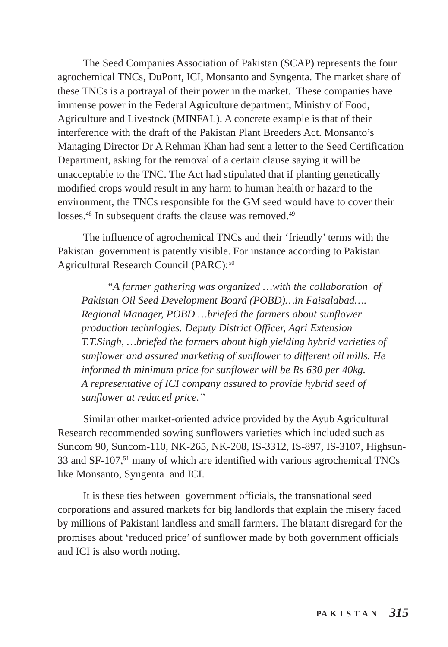The Seed Companies Association of Pakistan (SCAP) represents the four agrochemical TNCs, DuPont, ICI, Monsanto and Syngenta. The market share of these TNCs is a portrayal of their power in the market. These companies have immense power in the Federal Agriculture department, Ministry of Food, Agriculture and Livestock (MINFAL). A concrete example is that of their interference with the draft of the Pakistan Plant Breeders Act. Monsanto's Managing Director Dr A Rehman Khan had sent a letter to the Seed Certification Department, asking for the removal of a certain clause saying it will be unacceptable to the TNC. The Act had stipulated that if planting genetically modified crops would result in any harm to human health or hazard to the environment, the TNCs responsible for the GM seed would have to cover their losses.<sup>48</sup> In subsequent drafts the clause was removed.<sup>49</sup>

The influence of agrochemical TNCs and their 'friendly' terms with the Pakistan government is patently visible. For instance according to Pakistan Agricultural Research Council (PARC):<sup>50</sup>

*"A farmer gathering was organized …with the collaboration of Pakistan Oil Seed Development Board (POBD)…in Faisalabad…. Regional Manager, POBD …briefed the farmers about sunflower production technlogies. Deputy District Officer, Agri Extension T.T.Singh, …briefed the farmers about high yielding hybrid varieties of sunflower and assured marketing of sunflower to different oil mills. He informed th minimum price for sunflower will be Rs 630 per 40kg. A representative of ICI company assured to provide hybrid seed of sunflower at reduced price."*

Similar other market-oriented advice provided by the Ayub Agricultural Research recommended sowing sunflowers varieties which included such as Suncom 90, Suncom-110, NK-265, NK-208, IS-3312, IS-897, IS-3107, Highsun-33 and SF-107,51 many of which are identified with various agrochemical TNCs like Monsanto, Syngenta and ICI.

It is these ties between government officials, the transnational seed corporations and assured markets for big landlords that explain the misery faced by millions of Pakistani landless and small farmers. The blatant disregard for the promises about 'reduced price' of sunflower made by both government officials and ICI is also worth noting.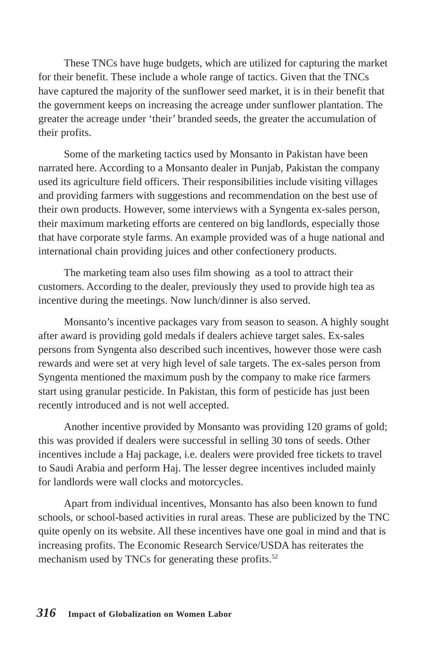These TNCs have huge budgets, which are utilized for capturing the market for their benefit. These include a whole range of tactics. Given that the TNCs have captured the majority of the sunflower seed market, it is in their benefit that the government keeps on increasing the acreage under sunflower plantation. The greater the acreage under 'their' branded seeds, the greater the accumulation of their profits.

Some of the marketing tactics used by Monsanto in Pakistan have been narrated here. According to a Monsanto dealer in Punjab, Pakistan the company used its agriculture field officers. Their responsibilities include visiting villages and providing farmers with suggestions and recommendation on the best use of their own products. However, some interviews with a Syngenta ex-sales person, their maximum marketing efforts are centered on big landlords, especially those that have corporate style farms. An example provided was of a huge national and international chain providing juices and other confectionery products.

The marketing team also uses film showing as a tool to attract their customers. According to the dealer, previously they used to provide high tea as incentive during the meetings. Now lunch/dinner is also served.

Monsanto's incentive packages vary from season to season. A highly sought after award is providing gold medals if dealers achieve target sales. Ex-sales persons from Syngenta also described such incentives, however those were cash rewards and were set at very high level of sale targets. The ex-sales person from Syngenta mentioned the maximum push by the company to make rice farmers start using granular pesticide. In Pakistan, this form of pesticide has just been recently introduced and is not well accepted.

Another incentive provided by Monsanto was providing 120 grams of gold; this was provided if dealers were successful in selling 30 tons of seeds. Other incentives include a Haj package, i.e. dealers were provided free tickets to travel to Saudi Arabia and perform Haj. The lesser degree incentives included mainly for landlords were wall clocks and motorcycles.

Apart from individual incentives, Monsanto has also been known to fund schools, or school-based activities in rural areas. These are publicized by the TNC quite openly on its website. All these incentives have one goal in mind and that is increasing profits. The Economic Research Service/USDA has reiterates the mechanism used by TNCs for generating these profits.<sup>52</sup>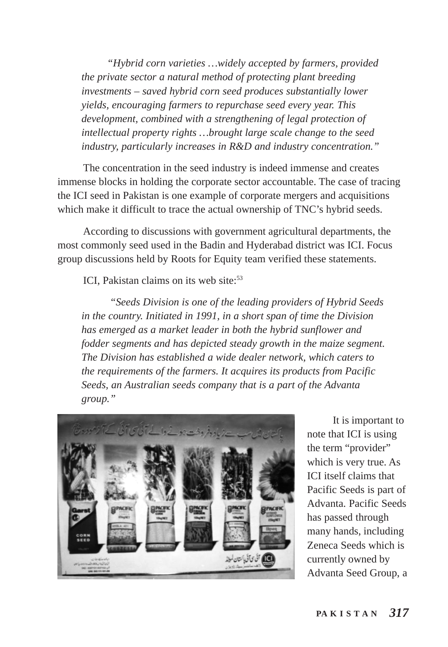*"Hybrid corn varieties …widely accepted by farmers, provided the private sector a natural method of protecting plant breeding investments – saved hybrid corn seed produces substantially lower yields, encouraging farmers to repurchase seed every year. This development, combined with a strengthening of legal protection of intellectual property rights …brought large scale change to the seed industry, particularly increases in R&D and industry concentration."*

The concentration in the seed industry is indeed immense and creates immense blocks in holding the corporate sector accountable. The case of tracing the ICI seed in Pakistan is one example of corporate mergers and acquisitions which make it difficult to trace the actual ownership of TNC's hybrid seeds.

According to discussions with government agricultural departments, the most commonly seed used in the Badin and Hyderabad district was ICI. Focus group discussions held by Roots for Equity team verified these statements.

ICI, Pakistan claims on its web site: $53$ 

 *"Seeds Division is one of the leading providers of Hybrid Seeds in the country. Initiated in 1991, in a short span of time the Division has emerged as a market leader in both the hybrid sunflower and fodder segments and has depicted steady growth in the maize segment. The Division has established a wide dealer network, which caters to the requirements of the farmers. It acquires its products from Pacific Seeds, an Australian seeds company that is a part of the Advanta group."*



It is important to note that ICI is using the term "provider" which is very true. As ICI itself claims that Pacific Seeds is part of Advanta. Pacific Seeds has passed through many hands, including Zeneca Seeds which is currently owned by Advanta Seed Group, a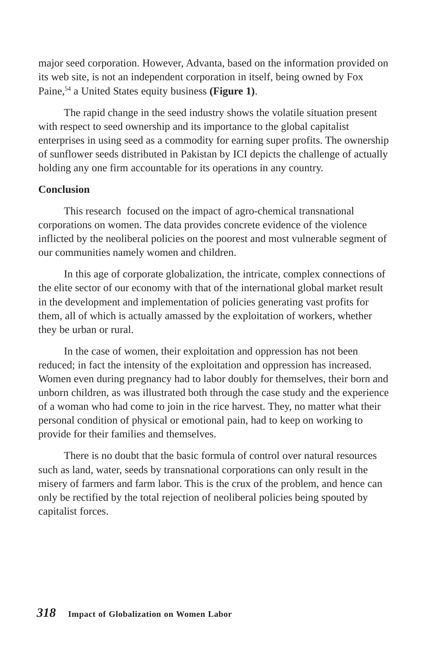major seed corporation. However, Advanta, based on the information provided on its web site, is not an independent corporation in itself, being owned by Fox Paine,<sup>54</sup> a United States equity business (Figure 1).

The rapid change in the seed industry shows the volatile situation present with respect to seed ownership and its importance to the global capitalist enterprises in using seed as a commodity for earning super profits. The ownership of sunflower seeds distributed in Pakistan by ICI depicts the challenge of actually holding any one firm accountable for its operations in any country.

# **Conclusion**

This research focused on the impact of agro-chemical transnational corporations on women. The data provides concrete evidence of the violence inflicted by the neoliberal policies on the poorest and most vulnerable segment of our communities namely women and children.

In this age of corporate globalization, the intricate, complex connections of the elite sector of our economy with that of the international global market result in the development and implementation of policies generating vast profits for them, all of which is actually amassed by the exploitation of workers, whether they be urban or rural.

In the case of women, their exploitation and oppression has not been reduced; in fact the intensity of the exploitation and oppression has increased. Women even during pregnancy had to labor doubly for themselves, their born and unborn children, as was illustrated both through the case study and the experience of a woman who had come to join in the rice harvest. They, no matter what their personal condition of physical or emotional pain, had to keep on working to provide for their families and themselves.

There is no doubt that the basic formula of control over natural resources such as land, water, seeds by transnational corporations can only result in the misery of farmers and farm labor. This is the crux of the problem, and hence can only be rectified by the total rejection of neoliberal policies being spouted by capitalist forces.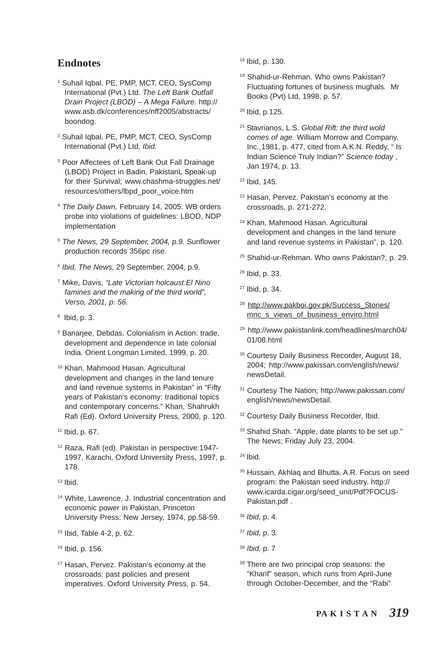#### **Endnotes**

- 1 Suhail Iqbal, PE, PMP, MCT, CEO, SysComp International (Pvt.) Ltd. *The Left Bank Outfall Drain Project (LBOD) – A Mega Failure.* http:// www.asb.dk/conferences/nff2005/abstracts/ boondog.
- 2 Suhail Iqbal, PE, PMP, MCT, CEO, SysComp International (Pvt.) Ltd, *Ibid.*
- 3 Poor Affectees of Left Bank Out Fall Drainage (LBOD) Project in Badin, PakistanL Speak-up for their Survival; www.chashma-struggles.net/ resources/others/lbpd\_poor\_voice.htm
- <sup>4</sup> *The Daily Dawn,* February 14, 2005. WB orders probe into violations of guidelines: LBOD, NDP implementation
- <sup>5</sup> *The News, 29 September, 2004, p.9.* Sunflower production records 356pc rise.
- <sup>6</sup> *Ibid, The News,* 29 September, 2004, p.9*.*
- 7 Mike, Davis, *"Late Victorian holcaust:El Nino famines and the making of the third world", Verso, 2001, p. 56.*
- $<sup>8</sup>$  lbid, p. 3.</sup>
- <sup>9</sup> Banarjee, Debdas. Colonialism in Action: trade, development and dependence in late colonial India. Orient Longman Limited, 1999, p. 20.
- 10 Khan, Mahmood Hasan. Agricultural development and changes in the land tenure and land revenue systems in Pakistan" in "Fifty years of Pakistan's economy: traditional topics and contemporary concerns." Khan, Shahrukh Rafi (Ed). Oxford University Press, 2000, p. 120.
- 11 Ibid, p. 67.
- 12 Raza, Rafi (ed). Pakistan in perspective:1947- 1997, Karachi, Oxford University Press, 1997, p. 178.
- 13 Ibid.
- 14 White, Lawrence, J. Industrial concentration and economic power in Pakistan, Princeton University Press: New Jersey, 1974, pp.58-59.
- 15 Ibid, Table 4-2, p. 62.
- 16 Ibid, p. 156.
- 17 Hasan, Pervez. Pakistan's economy at the crossroads: past policies and present imperatives. Oxford University Press, p. 54.

18 Ibid, p. 130.

- 19 Shahid-ur-Rehman. Who owns Pakistan? Fluctuating fortunes of business mughals. Mr Books (Pvt) Ltd, 1998, p. 57.
- 20 Ibid, p.125.
- 21 Stavrianos, L.S. *Global Rift: the third wold comes of age.* William Morrow and Company, Inc. 1981, p. 477, cited from A.K.N. Reddy, " Is Indian Science Truly Indian?" *Science today* , Jan 1974, p. 13.
- 22 Ibid, 145.
- 23 Hasan, Pervez. Pakistan's economy at the crossroads, p. 271-272.
- 24 Khan, Mahmood Hasan. Agricultural development and changes in the land tenure and land revenue systems in Pakistan", p. 120.
- 25 Shahid-ur-Rehman. Who owns Pakistan?, p. 29.
- 26 Ibid, p. 33.
- 27 Ibid, p. 34.
- <sup>28</sup> http://www.pakboi.gov.pk/Success\_Stories/ mnc\_s\_views\_of\_business\_enviro.html
- 29 http://www.pakistanlink.com/headlines/march04/ 01/08.html
- 30 Courtesy Daily Business Recorder, August 18, 2004; http://www.pakissan.com/english/news/ newsDetail.
- 31 Courtesy The Nation; http://www.pakissan.com/ english/news/newsDetail.
- <sup>32</sup> Courtesy Daily Business Recorder, Ibid.
- <sup>33</sup> Shahid Shah. "Apple, date plants to be set up." The News; Friday July 23, 2004.
- $34$  Ibid.
- 35 Hussain, Akhlaq and Bhutta, A.R. Focus on seed program: the Pakistan seed industry. http:// www.icarda.cigar.org/seed\_unit/Pdf?FOCUS-Pakistan.pdf .
- <sup>36</sup> *Ibid,* p. 4*.*
- <sup>37</sup> *Ibid,* p. 3*.*
- <sup>38</sup> *Ibid,* p. 7
- <sup>39</sup> There are two principal crop seasons: the "Kharif" season, which runs from April-June through October-December, and the "Rabi"